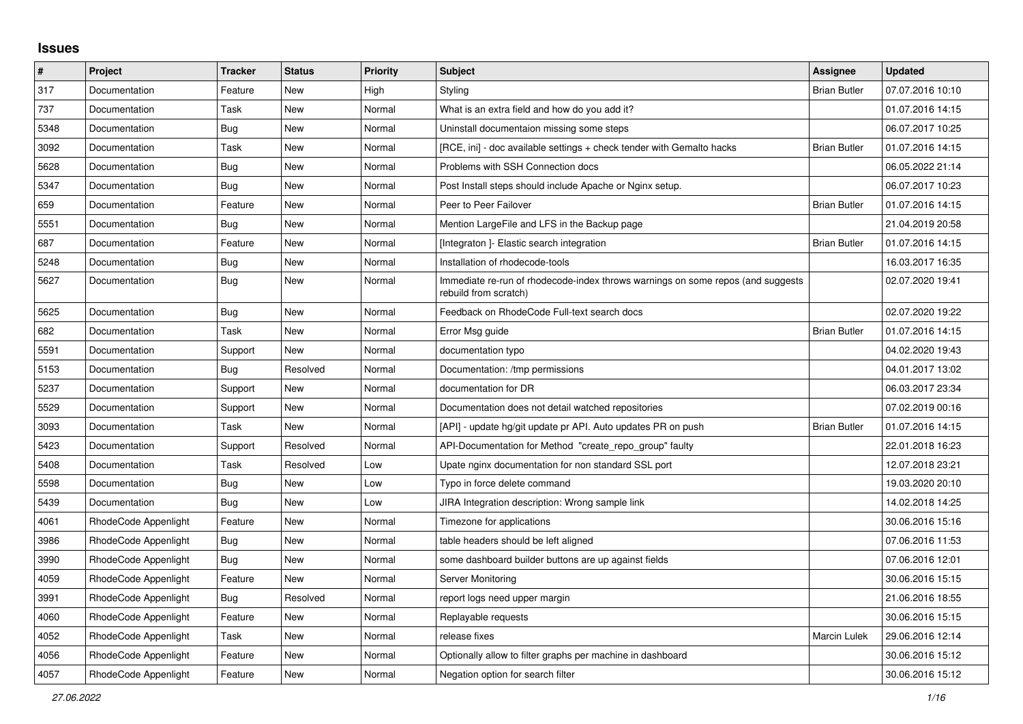## **Issues**

| $\vert$ # | Project              | <b>Tracker</b> | <b>Status</b> | <b>Priority</b> | <b>Subject</b>                                                                                           | Assignee            | <b>Updated</b>   |
|-----------|----------------------|----------------|---------------|-----------------|----------------------------------------------------------------------------------------------------------|---------------------|------------------|
| 317       | Documentation        | Feature        | <b>New</b>    | High            | Styling                                                                                                  | <b>Brian Butler</b> | 07.07.2016 10:10 |
| 737       | Documentation        | Task           | New           | Normal          | What is an extra field and how do you add it?                                                            |                     | 01.07.2016 14:15 |
| 5348      | Documentation        | Bug            | New           | Normal          | Uninstall documentaion missing some steps                                                                |                     | 06.07.2017 10:25 |
| 3092      | Documentation        | Task           | <b>New</b>    | Normal          | [RCE, ini] - doc available settings + check tender with Gemalto hacks                                    | <b>Brian Butler</b> | 01.07.2016 14:15 |
| 5628      | Documentation        | Bug            | <b>New</b>    | Normal          | Problems with SSH Connection docs                                                                        |                     | 06.05.2022 21:14 |
| 5347      | Documentation        | Bug            | <b>New</b>    | Normal          | Post Install steps should include Apache or Nginx setup.                                                 |                     | 06.07.2017 10:23 |
| 659       | Documentation        | Feature        | New           | Normal          | Peer to Peer Failover                                                                                    | <b>Brian Butler</b> | 01.07.2016 14:15 |
| 5551      | Documentation        | Bug            | New           | Normal          | Mention LargeFile and LFS in the Backup page                                                             |                     | 21.04.2019 20:58 |
| 687       | Documentation        | Feature        | New           | Normal          | [Integraton] - Elastic search integration                                                                | <b>Brian Butler</b> | 01.07.2016 14:15 |
| 5248      | Documentation        | Bug            | New           | Normal          | Installation of rhodecode-tools                                                                          |                     | 16.03.2017 16:35 |
| 5627      | Documentation        | <b>Bug</b>     | <b>New</b>    | Normal          | Immediate re-run of rhodecode-index throws warnings on some repos (and suggests<br>rebuild from scratch) |                     | 02.07.2020 19:41 |
| 5625      | Documentation        | Bug            | New           | Normal          | Feedback on RhodeCode Full-text search docs                                                              |                     | 02.07.2020 19:22 |
| 682       | Documentation        | Task           | New           | Normal          | Error Msg guide                                                                                          | <b>Brian Butler</b> | 01.07.2016 14:15 |
| 5591      | Documentation        | Support        | New           | Normal          | documentation typo                                                                                       |                     | 04.02.2020 19:43 |
| 5153      | Documentation        | Bug            | Resolved      | Normal          | Documentation: /tmp permissions                                                                          |                     | 04.01.2017 13:02 |
| 5237      | Documentation        | Support        | <b>New</b>    | Normal          | documentation for DR                                                                                     |                     | 06.03.2017 23:34 |
| 5529      | Documentation        | Support        | <b>New</b>    | Normal          | Documentation does not detail watched repositories                                                       |                     | 07.02.2019 00:16 |
| 3093      | Documentation        | Task           | <b>New</b>    | Normal          | [API] - update hg/git update pr API. Auto updates PR on push                                             | <b>Brian Butler</b> | 01.07.2016 14:15 |
| 5423      | Documentation        | Support        | Resolved      | Normal          | API-Documentation for Method "create_repo_group" faulty                                                  |                     | 22.01.2018 16:23 |
| 5408      | Documentation        | Task           | Resolved      | Low             | Upate nginx documentation for non standard SSL port                                                      |                     | 12.07.2018 23:21 |
| 5598      | Documentation        | Bug            | New           | Low             | Typo in force delete command                                                                             |                     | 19.03.2020 20:10 |
| 5439      | Documentation        | Bug            | New           | Low             | JIRA Integration description: Wrong sample link                                                          |                     | 14.02.2018 14:25 |
| 4061      | RhodeCode Appenlight | Feature        | New           | Normal          | Timezone for applications                                                                                |                     | 30.06.2016 15:16 |
| 3986      | RhodeCode Appenlight | Bug            | New           | Normal          | table headers should be left aligned                                                                     |                     | 07.06.2016 11:53 |
| 3990      | RhodeCode Appenlight | Bug            | New           | Normal          | some dashboard builder buttons are up against fields                                                     |                     | 07.06.2016 12:01 |
| 4059      | RhodeCode Appenlight | Feature        | New           | Normal          | <b>Server Monitoring</b>                                                                                 |                     | 30.06.2016 15:15 |
| 3991      | RhodeCode Appenlight | Bug            | Resolved      | Normal          | report logs need upper margin                                                                            |                     | 21.06.2016 18:55 |
| 4060      | RhodeCode Appenlight | Feature        | New           | Normal          | Replayable requests                                                                                      |                     | 30.06.2016 15:15 |
| 4052      | RhodeCode Appenlight | Task           | <b>New</b>    | Normal          | release fixes                                                                                            | <b>Marcin Lulek</b> | 29.06.2016 12:14 |
| 4056      | RhodeCode Appenlight | Feature        | New           | Normal          | Optionally allow to filter graphs per machine in dashboard                                               |                     | 30.06.2016 15:12 |
| 4057      | RhodeCode Appenlight | Feature        | New           | Normal          | Negation option for search filter                                                                        |                     | 30.06.2016 15:12 |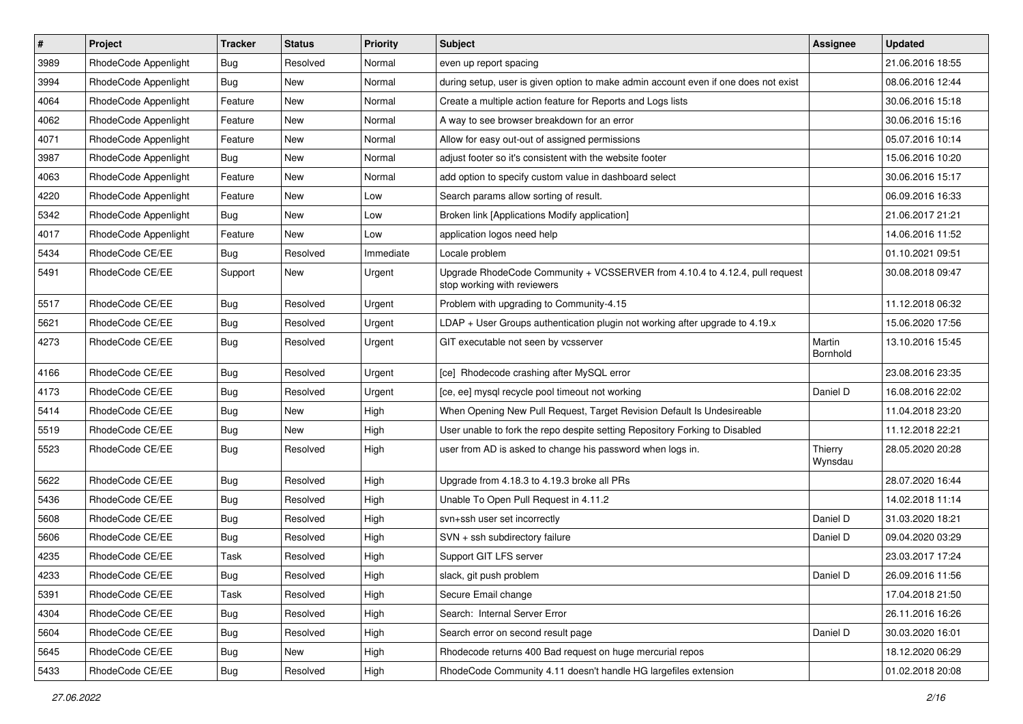| $\pmb{\#}$ | Project              | <b>Tracker</b> | <b>Status</b> | <b>Priority</b> | Subject                                                                                                    | <b>Assignee</b>    | <b>Updated</b>   |
|------------|----------------------|----------------|---------------|-----------------|------------------------------------------------------------------------------------------------------------|--------------------|------------------|
| 3989       | RhodeCode Appenlight | Bug            | Resolved      | Normal          | even up report spacing                                                                                     |                    | 21.06.2016 18:55 |
| 3994       | RhodeCode Appenlight | Bug            | <b>New</b>    | Normal          | during setup, user is given option to make admin account even if one does not exist                        |                    | 08.06.2016 12:44 |
| 4064       | RhodeCode Appenlight | Feature        | New           | Normal          | Create a multiple action feature for Reports and Logs lists                                                |                    | 30.06.2016 15:18 |
| 4062       | RhodeCode Appenlight | Feature        | New           | Normal          | A way to see browser breakdown for an error                                                                |                    | 30.06.2016 15:16 |
| 4071       | RhodeCode Appenlight | Feature        | <b>New</b>    | Normal          | Allow for easy out-out of assigned permissions                                                             |                    | 05.07.2016 10:14 |
| 3987       | RhodeCode Appenlight | Bug            | New           | Normal          | adjust footer so it's consistent with the website footer                                                   |                    | 15.06.2016 10:20 |
| 4063       | RhodeCode Appenlight | Feature        | New           | Normal          | add option to specify custom value in dashboard select                                                     |                    | 30.06.2016 15:17 |
| 4220       | RhodeCode Appenlight | Feature        | New           | Low             | Search params allow sorting of result.                                                                     |                    | 06.09.2016 16:33 |
| 5342       | RhodeCode Appenlight | Bug            | New           | Low             | Broken link [Applications Modify application]                                                              |                    | 21.06.2017 21:21 |
| 4017       | RhodeCode Appenlight | Feature        | New           | Low             | application logos need help                                                                                |                    | 14.06.2016 11:52 |
| 5434       | RhodeCode CE/EE      | Bug            | Resolved      | Immediate       | Locale problem                                                                                             |                    | 01.10.2021 09:51 |
| 5491       | RhodeCode CE/EE      | Support        | New           | Urgent          | Upgrade RhodeCode Community + VCSSERVER from 4.10.4 to 4.12.4, pull request<br>stop working with reviewers |                    | 30.08.2018 09:47 |
| 5517       | RhodeCode CE/EE      | Bug            | Resolved      | Urgent          | Problem with upgrading to Community-4.15                                                                   |                    | 11.12.2018 06:32 |
| 5621       | RhodeCode CE/EE      | <b>Bug</b>     | Resolved      | Urgent          | $LDAP + User Groups authentication playing not working after upgrade to 4.19.x$                            |                    | 15.06.2020 17:56 |
| 4273       | RhodeCode CE/EE      | <b>Bug</b>     | Resolved      | Urgent          | GIT executable not seen by vcsserver                                                                       | Martin<br>Bornhold | 13.10.2016 15:45 |
| 4166       | RhodeCode CE/EE      | Bug            | Resolved      | Urgent          | [ce] Rhodecode crashing after MySQL error                                                                  |                    | 23.08.2016 23:35 |
| 4173       | RhodeCode CE/EE      | <b>Bug</b>     | Resolved      | Urgent          | [ce, ee] mysql recycle pool timeout not working                                                            | Daniel D           | 16.08.2016 22:02 |
| 5414       | RhodeCode CE/EE      | <b>Bug</b>     | New           | High            | When Opening New Pull Request, Target Revision Default Is Undesireable                                     |                    | 11.04.2018 23:20 |
| 5519       | RhodeCode CE/EE      | Bug            | <b>New</b>    | High            | User unable to fork the repo despite setting Repository Forking to Disabled                                |                    | 11.12.2018 22:21 |
| 5523       | RhodeCode CE/EE      | Bug            | Resolved      | High            | user from AD is asked to change his password when logs in.                                                 | Thierry<br>Wynsdau | 28.05.2020 20:28 |
| 5622       | RhodeCode CE/EE      | Bug            | Resolved      | High            | Upgrade from 4.18.3 to 4.19.3 broke all PRs                                                                |                    | 28.07.2020 16:44 |
| 5436       | RhodeCode CE/EE      | Bug            | Resolved      | High            | Unable To Open Pull Request in 4.11.2                                                                      |                    | 14.02.2018 11:14 |
| 5608       | RhodeCode CE/EE      | <b>Bug</b>     | Resolved      | High            | svn+ssh user set incorrectly                                                                               | Daniel D           | 31.03.2020 18:21 |
| 5606       | RhodeCode CE/EE      | Bug            | Resolved      | High            | SVN + ssh subdirectory failure                                                                             | Daniel D           | 09.04.2020 03:29 |
| 4235       | RhodeCode CE/EE      | Task           | Resolved      | High            | Support GIT LFS server                                                                                     |                    | 23.03.2017 17:24 |
| 4233       | RhodeCode CE/EE      | Bug            | Resolved      | High            | slack, git push problem                                                                                    | Daniel D           | 26.09.2016 11:56 |
| 5391       | RhodeCode CE/EE      | Task           | Resolved      | High            | Secure Email change                                                                                        |                    | 17.04.2018 21:50 |
| 4304       | RhodeCode CE/EE      | <b>Bug</b>     | Resolved      | High            | Search: Internal Server Error                                                                              |                    | 26.11.2016 16:26 |
| 5604       | RhodeCode CE/EE      | <b>Bug</b>     | Resolved      | High            | Search error on second result page                                                                         | Daniel D           | 30.03.2020 16:01 |
| 5645       | RhodeCode CE/EE      | Bug            | New           | High            | Rhodecode returns 400 Bad request on huge mercurial repos                                                  |                    | 18.12.2020 06:29 |
| 5433       | RhodeCode CE/EE      | Bug            | Resolved      | High            | RhodeCode Community 4.11 doesn't handle HG largefiles extension                                            |                    | 01.02.2018 20:08 |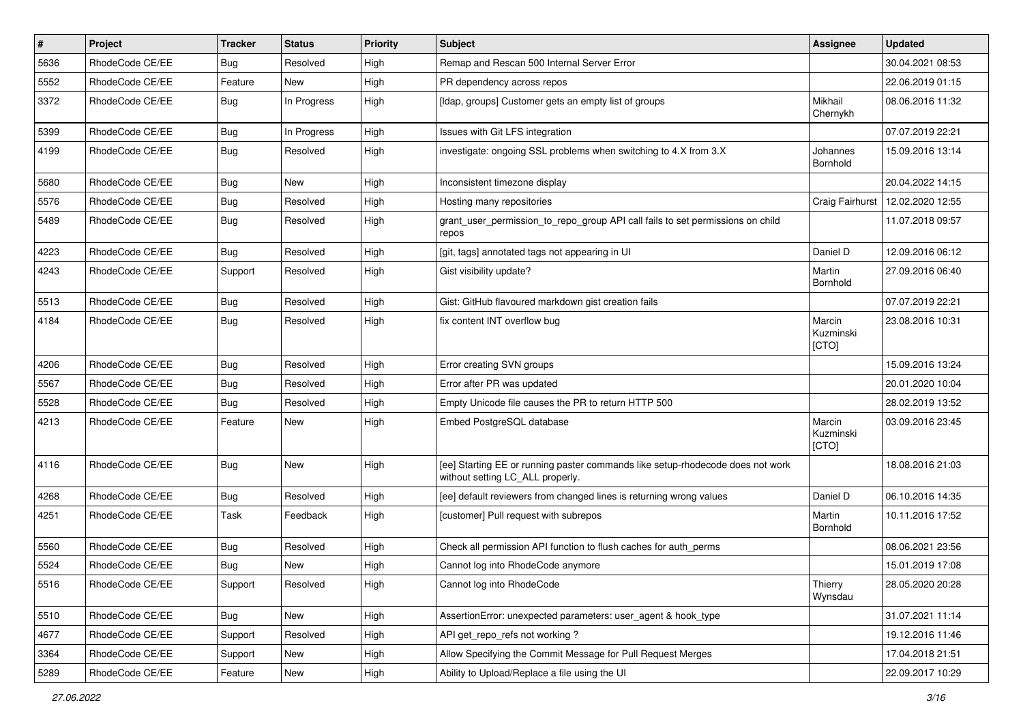| $\pmb{\#}$ | <b>Project</b>  | <b>Tracker</b> | <b>Status</b> | <b>Priority</b> | Subject                                                                                                            | Assignee                     | <b>Updated</b>   |
|------------|-----------------|----------------|---------------|-----------------|--------------------------------------------------------------------------------------------------------------------|------------------------------|------------------|
| 5636       | RhodeCode CE/EE | Bug            | Resolved      | High            | Remap and Rescan 500 Internal Server Error                                                                         |                              | 30.04.2021 08:53 |
| 5552       | RhodeCode CE/EE | Feature        | <b>New</b>    | High            | PR dependency across repos                                                                                         |                              | 22.06.2019 01:15 |
| 3372       | RhodeCode CE/EE | Bug            | In Progress   | High            | [Idap, groups] Customer gets an empty list of groups                                                               | Mikhail<br>Chernykh          | 08.06.2016 11:32 |
| 5399       | RhodeCode CE/EE | Bug            | In Progress   | High            | Issues with Git LFS integration                                                                                    |                              | 07.07.2019 22:21 |
| 4199       | RhodeCode CE/EE | Bug            | Resolved      | High            | investigate: ongoing SSL problems when switching to 4.X from 3.X                                                   | Johannes<br>Bornhold         | 15.09.2016 13:14 |
| 5680       | RhodeCode CE/EE | Bug            | <b>New</b>    | High            | Inconsistent timezone display                                                                                      |                              | 20.04.2022 14:15 |
| 5576       | RhodeCode CE/EE | Bug            | Resolved      | High            | Hosting many repositories                                                                                          | Craig Fairhurst              | 12.02.2020 12:55 |
| 5489       | RhodeCode CE/EE | Bug            | Resolved      | High            | grant_user_permission_to_repo_group API call fails to set permissions on child<br>repos                            |                              | 11.07.2018 09:57 |
| 4223       | RhodeCode CE/EE | Bug            | Resolved      | High            | [git, tags] annotated tags not appearing in UI                                                                     | Daniel D                     | 12.09.2016 06:12 |
| 4243       | RhodeCode CE/EE | Support        | Resolved      | High            | Gist visibility update?                                                                                            | Martin<br>Bornhold           | 27.09.2016 06:40 |
| 5513       | RhodeCode CE/EE | Bug            | Resolved      | High            | Gist: GitHub flavoured markdown gist creation fails                                                                |                              | 07.07.2019 22:21 |
| 4184       | RhodeCode CE/EE | <b>Bug</b>     | Resolved      | High            | fix content INT overflow bug                                                                                       | Marcin<br>Kuzminski<br>[CTO] | 23.08.2016 10:31 |
| 4206       | RhodeCode CE/EE | <b>Bug</b>     | Resolved      | High            | Error creating SVN groups                                                                                          |                              | 15.09.2016 13:24 |
| 5567       | RhodeCode CE/EE | Bug            | Resolved      | High            | Error after PR was updated                                                                                         |                              | 20.01.2020 10:04 |
| 5528       | RhodeCode CE/EE | Bug            | Resolved      | High            | Empty Unicode file causes the PR to return HTTP 500                                                                |                              | 28.02.2019 13:52 |
| 4213       | RhodeCode CE/EE | Feature        | <b>New</b>    | High            | Embed PostgreSQL database                                                                                          | Marcin<br>Kuzminski<br>[CTO] | 03.09.2016 23:45 |
| 4116       | RhodeCode CE/EE | Bug            | New           | High            | [ee] Starting EE or running paster commands like setup-rhodecode does not work<br>without setting LC_ALL properly. |                              | 18.08.2016 21:03 |
| 4268       | RhodeCode CE/EE | Bug            | Resolved      | High            | [ee] default reviewers from changed lines is returning wrong values                                                | Daniel D                     | 06.10.2016 14:35 |
| 4251       | RhodeCode CE/EE | Task           | Feedback      | High            | [customer] Pull request with subrepos                                                                              | Martin<br>Bornhold           | 10.11.2016 17:52 |
| 5560       | RhodeCode CE/EE | Bug            | Resolved      | High            | Check all permission API function to flush caches for auth_perms                                                   |                              | 08.06.2021 23:56 |
| 5524       | RhodeCode CE/EE | Bug            | <b>New</b>    | High            | Cannot log into RhodeCode anymore                                                                                  |                              | 15.01.2019 17:08 |
| 5516       | RhodeCode CE/EE | Support        | Resolved      | High            | Cannot log into RhodeCode                                                                                          | Thierry<br>Wynsdau           | 28.05.2020 20:28 |
| 5510       | RhodeCode CE/EE | Bug            | New           | High            | AssertionError: unexpected parameters: user_agent & hook_type                                                      |                              | 31.07.2021 11:14 |
| 4677       | RhodeCode CE/EE | Support        | Resolved      | High            | API get_repo_refs not working?                                                                                     |                              | 19.12.2016 11:46 |
| 3364       | RhodeCode CE/EE | Support        | New           | High            | Allow Specifying the Commit Message for Pull Request Merges                                                        |                              | 17.04.2018 21:51 |
| 5289       | RhodeCode CE/EE | Feature        | New           | High            | Ability to Upload/Replace a file using the UI                                                                      |                              | 22.09.2017 10:29 |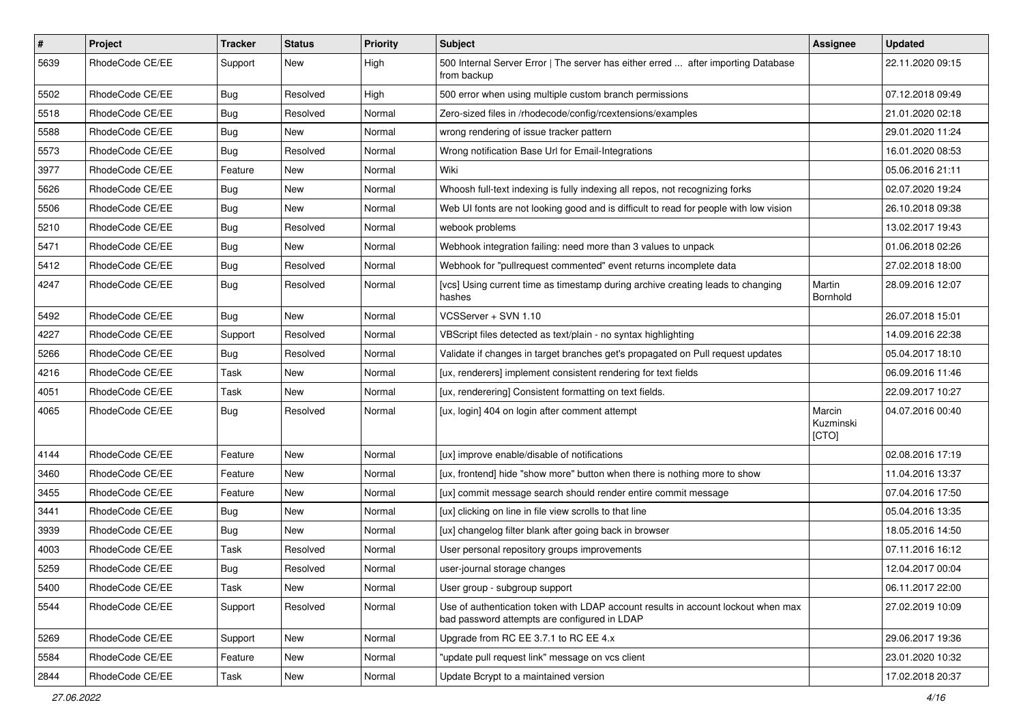| $\sharp$ | Project         | <b>Tracker</b> | <b>Status</b> | <b>Priority</b> | <b>Subject</b>                                                                                                                    | <b>Assignee</b>              | <b>Updated</b>   |
|----------|-----------------|----------------|---------------|-----------------|-----------------------------------------------------------------------------------------------------------------------------------|------------------------------|------------------|
| 5639     | RhodeCode CE/EE | Support        | New           | High            | 500 Internal Server Error   The server has either erred  after importing Database<br>from backup                                  |                              | 22.11.2020 09:15 |
| 5502     | RhodeCode CE/EE | Bug            | Resolved      | High            | 500 error when using multiple custom branch permissions                                                                           |                              | 07.12.2018 09:49 |
| 5518     | RhodeCode CE/EE | <b>Bug</b>     | Resolved      | Normal          | Zero-sized files in /rhodecode/config/rcextensions/examples                                                                       |                              | 21.01.2020 02:18 |
| 5588     | RhodeCode CE/EE | Bug            | New           | Normal          | wrong rendering of issue tracker pattern                                                                                          |                              | 29.01.2020 11:24 |
| 5573     | RhodeCode CE/EE | Bug            | Resolved      | Normal          | Wrong notification Base Url for Email-Integrations                                                                                |                              | 16.01.2020 08:53 |
| 3977     | RhodeCode CE/EE | Feature        | New           | Normal          | Wiki                                                                                                                              |                              | 05.06.2016 21:11 |
| 5626     | RhodeCode CE/EE | Bug            | New           | Normal          | Whoosh full-text indexing is fully indexing all repos, not recognizing forks                                                      |                              | 02.07.2020 19:24 |
| 5506     | RhodeCode CE/EE | Bug            | New           | Normal          | Web UI fonts are not looking good and is difficult to read for people with low vision                                             |                              | 26.10.2018 09:38 |
| 5210     | RhodeCode CE/EE | <b>Bug</b>     | Resolved      | Normal          | webook problems                                                                                                                   |                              | 13.02.2017 19:43 |
| 5471     | RhodeCode CE/EE | <b>Bug</b>     | New           | Normal          | Webhook integration failing: need more than 3 values to unpack                                                                    |                              | 01.06.2018 02:26 |
| 5412     | RhodeCode CE/EE | Bug            | Resolved      | Normal          | Webhook for "pullrequest commented" event returns incomplete data                                                                 |                              | 27.02.2018 18:00 |
| 4247     | RhodeCode CE/EE | <b>Bug</b>     | Resolved      | Normal          | [vcs] Using current time as timestamp during archive creating leads to changing<br>hashes                                         | Martin<br>Bornhold           | 28.09.2016 12:07 |
| 5492     | RhodeCode CE/EE | Bug            | <b>New</b>    | Normal          | VCSServer + SVN 1.10                                                                                                              |                              | 26.07.2018 15:01 |
| 4227     | RhodeCode CE/EE | Support        | Resolved      | Normal          | VBScript files detected as text/plain - no syntax highlighting                                                                    |                              | 14.09.2016 22:38 |
| 5266     | RhodeCode CE/EE | Bug            | Resolved      | Normal          | Validate if changes in target branches get's propagated on Pull request updates                                                   |                              | 05.04.2017 18:10 |
| 4216     | RhodeCode CE/EE | Task           | <b>New</b>    | Normal          | [ux, renderers] implement consistent rendering for text fields                                                                    |                              | 06.09.2016 11:46 |
| 4051     | RhodeCode CE/EE | Task           | New           | Normal          | [ux, renderering] Consistent formatting on text fields.                                                                           |                              | 22.09.2017 10:27 |
| 4065     | RhodeCode CE/EE | Bug            | Resolved      | Normal          | [ux, login] 404 on login after comment attempt                                                                                    | Marcin<br>Kuzminski<br>[CTO] | 04.07.2016 00:40 |
| 4144     | RhodeCode CE/EE | Feature        | New           | Normal          | [ux] improve enable/disable of notifications                                                                                      |                              | 02.08.2016 17:19 |
| 3460     | RhodeCode CE/EE | Feature        | <b>New</b>    | Normal          | [ux, frontend] hide "show more" button when there is nothing more to show                                                         |                              | 11.04.2016 13:37 |
| 3455     | RhodeCode CE/EE | Feature        | New           | Normal          | [ux] commit message search should render entire commit message                                                                    |                              | 07.04.2016 17:50 |
| 3441     | RhodeCode CE/EE | Bug            | <b>New</b>    | Normal          | [ux] clicking on line in file view scrolls to that line                                                                           |                              | 05.04.2016 13:35 |
| 3939     | RhodeCode CE/EE | Bug            | New           | Normal          | [ux] changelog filter blank after going back in browser                                                                           |                              | 18.05.2016 14:50 |
| 4003     | RhodeCode CE/EE | Task           | Resolved      | Normal          | User personal repository groups improvements                                                                                      |                              | 07.11.2016 16:12 |
| 5259     | RhodeCode CE/EE | Bug            | Resolved      | Normal          | user-journal storage changes                                                                                                      |                              | 12.04.2017 00:04 |
| 5400     | RhodeCode CE/EE | Task           | New           | Normal          | User group - subgroup support                                                                                                     |                              | 06.11.2017 22:00 |
| 5544     | RhodeCode CE/EE | Support        | Resolved      | Normal          | Use of authentication token with LDAP account results in account lockout when max<br>bad password attempts are configured in LDAP |                              | 27.02.2019 10:09 |
| 5269     | RhodeCode CE/EE | Support        | <b>New</b>    | Normal          | Upgrade from RC EE 3.7.1 to RC EE 4.x                                                                                             |                              | 29.06.2017 19:36 |
| 5584     | RhodeCode CE/EE | Feature        | New           | Normal          | "update pull request link" message on vcs client                                                                                  |                              | 23.01.2020 10:32 |
| 2844     | RhodeCode CE/EE | Task           | New           | Normal          | Update Bcrypt to a maintained version                                                                                             |                              | 17.02.2018 20:37 |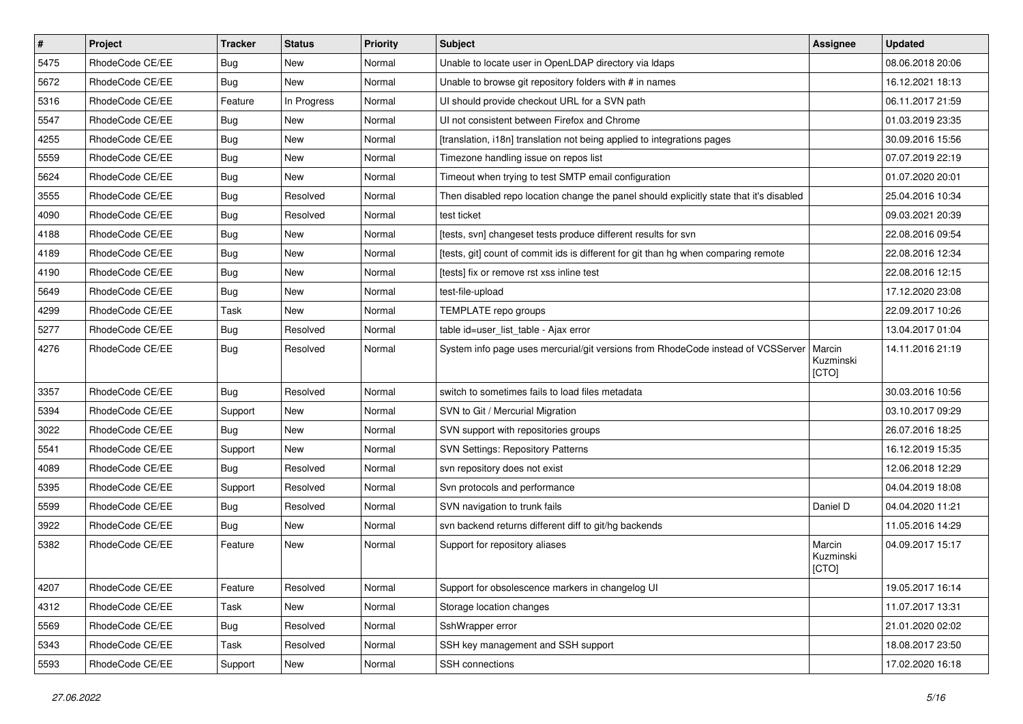| $\vert$ # | Project         | <b>Tracker</b> | <b>Status</b> | Priority | <b>Subject</b>                                                                          | <b>Assignee</b>              | <b>Updated</b>   |
|-----------|-----------------|----------------|---------------|----------|-----------------------------------------------------------------------------------------|------------------------------|------------------|
| 5475      | RhodeCode CE/EE | Bug            | New           | Normal   | Unable to locate user in OpenLDAP directory via Idaps                                   |                              | 08.06.2018 20:06 |
| 5672      | RhodeCode CE/EE | Bug            | <b>New</b>    | Normal   | Unable to browse git repository folders with # in names                                 |                              | 16.12.2021 18:13 |
| 5316      | RhodeCode CE/EE | Feature        | In Progress   | Normal   | UI should provide checkout URL for a SVN path                                           |                              | 06.11.2017 21:59 |
| 5547      | RhodeCode CE/EE | Bug            | New           | Normal   | UI not consistent between Firefox and Chrome                                            |                              | 01.03.2019 23:35 |
| 4255      | RhodeCode CE/EE | Bug            | <b>New</b>    | Normal   | [translation, i18n] translation not being applied to integrations pages                 |                              | 30.09.2016 15:56 |
| 5559      | RhodeCode CE/EE | Bug            | New           | Normal   | Timezone handling issue on repos list                                                   |                              | 07.07.2019 22:19 |
| 5624      | RhodeCode CE/EE | Bug            | <b>New</b>    | Normal   | Timeout when trying to test SMTP email configuration                                    |                              | 01.07.2020 20:01 |
| 3555      | RhodeCode CE/EE | Bug            | Resolved      | Normal   | Then disabled repo location change the panel should explicitly state that it's disabled |                              | 25.04.2016 10:34 |
| 4090      | RhodeCode CE/EE | Bug            | Resolved      | Normal   | test ticket                                                                             |                              | 09.03.2021 20:39 |
| 4188      | RhodeCode CE/EE | <b>Bug</b>     | <b>New</b>    | Normal   | [tests, svn] changeset tests produce different results for svn                          |                              | 22.08.2016 09:54 |
| 4189      | RhodeCode CE/EE | Bug            | New           | Normal   | [tests, git] count of commit ids is different for git than hg when comparing remote     |                              | 22.08.2016 12:34 |
| 4190      | RhodeCode CE/EE | Bug            | <b>New</b>    | Normal   | [tests] fix or remove rst xss inline test                                               |                              | 22.08.2016 12:15 |
| 5649      | RhodeCode CE/EE | Bug            | New           | Normal   | test-file-upload                                                                        |                              | 17.12.2020 23:08 |
| 4299      | RhodeCode CE/EE | Task           | New           | Normal   | TEMPLATE repo groups                                                                    |                              | 22.09.2017 10:26 |
| 5277      | RhodeCode CE/EE | Bug            | Resolved      | Normal   | table id=user_list_table - Ajax error                                                   |                              | 13.04.2017 01:04 |
| 4276      | RhodeCode CE/EE | Bug            | Resolved      | Normal   | System info page uses mercurial/git versions from RhodeCode instead of VCSServer        | Marcin<br>Kuzminski<br>[CTO] | 14.11.2016 21:19 |
| 3357      | RhodeCode CE/EE | <b>Bug</b>     | Resolved      | Normal   | switch to sometimes fails to load files metadata                                        |                              | 30.03.2016 10:56 |
| 5394      | RhodeCode CE/EE | Support        | <b>New</b>    | Normal   | SVN to Git / Mercurial Migration                                                        |                              | 03.10.2017 09:29 |
| 3022      | RhodeCode CE/EE | <b>Bug</b>     | New           | Normal   | SVN support with repositories groups                                                    |                              | 26.07.2016 18:25 |
| 5541      | RhodeCode CE/EE | Support        | New           | Normal   | <b>SVN Settings: Repository Patterns</b>                                                |                              | 16.12.2019 15:35 |
| 4089      | RhodeCode CE/EE | Bug            | Resolved      | Normal   | svn repository does not exist                                                           |                              | 12.06.2018 12:29 |
| 5395      | RhodeCode CE/EE | Support        | Resolved      | Normal   | Svn protocols and performance                                                           |                              | 04.04.2019 18:08 |
| 5599      | RhodeCode CE/EE | Bug            | Resolved      | Normal   | SVN navigation to trunk fails                                                           | Daniel D                     | 04.04.2020 11:21 |
| 3922      | RhodeCode CE/EE | Bug            | <b>New</b>    | Normal   | svn backend returns different diff to git/hg backends                                   |                              | 11.05.2016 14:29 |
| 5382      | RhodeCode CE/EE | Feature        | New           | Normal   | Support for repository aliases                                                          | Marcin<br>Kuzminski<br>[CTO] | 04.09.2017 15:17 |
| 4207      | RhodeCode CE/EE | Feature        | Resolved      | Normal   | Support for obsolescence markers in changelog UI                                        |                              | 19.05.2017 16:14 |
| 4312      | RhodeCode CE/EE | Task           | New           | Normal   | Storage location changes                                                                |                              | 11.07.2017 13:31 |
| 5569      | RhodeCode CE/EE | Bug            | Resolved      | Normal   | SshWrapper error                                                                        |                              | 21.01.2020 02:02 |
| 5343      | RhodeCode CE/EE | Task           | Resolved      | Normal   | SSH key management and SSH support                                                      |                              | 18.08.2017 23:50 |
| 5593      | RhodeCode CE/EE | Support        | New           | Normal   | SSH connections                                                                         |                              | 17.02.2020 16:18 |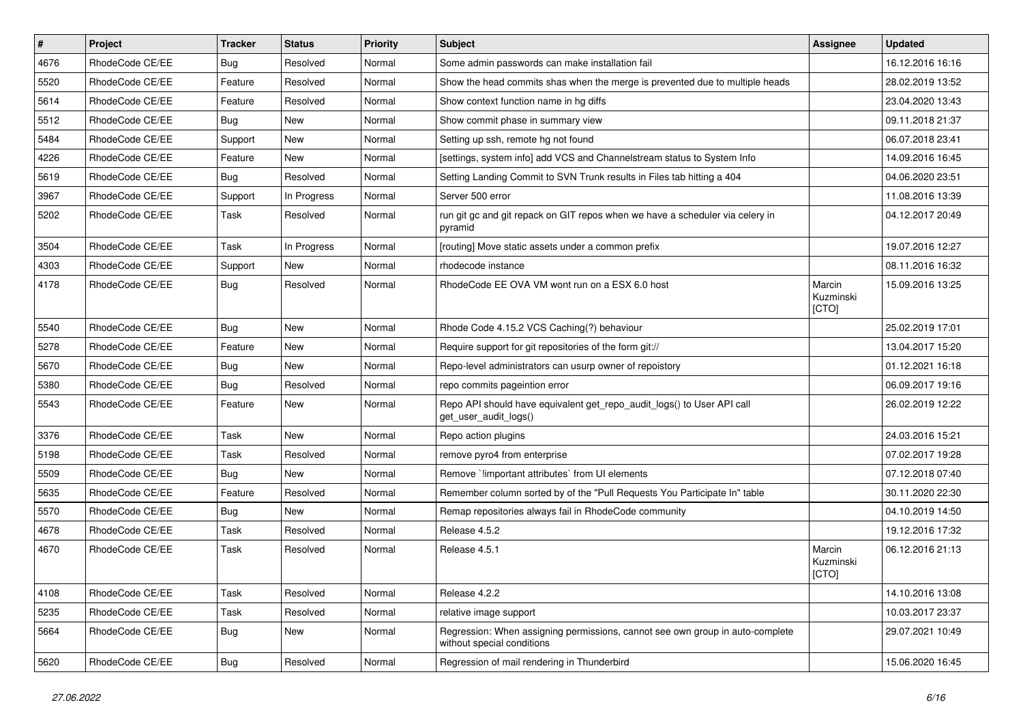| $\vert$ # | Project         | <b>Tracker</b> | <b>Status</b> | <b>Priority</b> | <b>Subject</b>                                                                                              | <b>Assignee</b>              | <b>Updated</b>   |
|-----------|-----------------|----------------|---------------|-----------------|-------------------------------------------------------------------------------------------------------------|------------------------------|------------------|
| 4676      | RhodeCode CE/EE | Bug            | Resolved      | Normal          | Some admin passwords can make installation fail                                                             |                              | 16.12.2016 16:16 |
| 5520      | RhodeCode CE/EE | Feature        | Resolved      | Normal          | Show the head commits shas when the merge is prevented due to multiple heads                                |                              | 28.02.2019 13:52 |
| 5614      | RhodeCode CE/EE | Feature        | Resolved      | Normal          | Show context function name in hg diffs                                                                      |                              | 23.04.2020 13:43 |
| 5512      | RhodeCode CE/EE | <b>Bug</b>     | <b>New</b>    | Normal          | Show commit phase in summary view                                                                           |                              | 09.11.2018 21:37 |
| 5484      | RhodeCode CE/EE | Support        | New           | Normal          | Setting up ssh, remote hg not found                                                                         |                              | 06.07.2018 23:41 |
| 4226      | RhodeCode CE/EE | Feature        | <b>New</b>    | Normal          | [settings, system info] add VCS and Channelstream status to System Info                                     |                              | 14.09.2016 16:45 |
| 5619      | RhodeCode CE/EE | Bug            | Resolved      | Normal          | Setting Landing Commit to SVN Trunk results in Files tab hitting a 404                                      |                              | 04.06.2020 23:51 |
| 3967      | RhodeCode CE/EE | Support        | In Progress   | Normal          | Server 500 error                                                                                            |                              | 11.08.2016 13:39 |
| 5202      | RhodeCode CE/EE | Task           | Resolved      | Normal          | run git gc and git repack on GIT repos when we have a scheduler via celery in<br>pyramid                    |                              | 04.12.2017 20:49 |
| 3504      | RhodeCode CE/EE | Task           | In Progress   | Normal          | [routing] Move static assets under a common prefix                                                          |                              | 19.07.2016 12:27 |
| 4303      | RhodeCode CE/EE | Support        | <b>New</b>    | Normal          | rhodecode instance                                                                                          |                              | 08.11.2016 16:32 |
| 4178      | RhodeCode CE/EE | Bug            | Resolved      | Normal          | RhodeCode EE OVA VM wont run on a ESX 6.0 host                                                              | Marcin<br>Kuzminski<br>[CTO] | 15.09.2016 13:25 |
| 5540      | RhodeCode CE/EE | Bug            | New           | Normal          | Rhode Code 4.15.2 VCS Caching(?) behaviour                                                                  |                              | 25.02.2019 17:01 |
| 5278      | RhodeCode CE/EE | Feature        | New           | Normal          | Require support for git repositories of the form git://                                                     |                              | 13.04.2017 15:20 |
| 5670      | RhodeCode CE/EE | <b>Bug</b>     | <b>New</b>    | Normal          | Repo-level administrators can usurp owner of repoistory                                                     |                              | 01.12.2021 16:18 |
| 5380      | RhodeCode CE/EE | <b>Bug</b>     | Resolved      | Normal          | repo commits pageintion error                                                                               |                              | 06.09.2017 19:16 |
| 5543      | RhodeCode CE/EE | Feature        | <b>New</b>    | Normal          | Repo API should have equivalent get_repo_audit_logs() to User API call<br>get_user_audit_logs()             |                              | 26.02.2019 12:22 |
| 3376      | RhodeCode CE/EE | Task           | New           | Normal          | Repo action plugins                                                                                         |                              | 24.03.2016 15:21 |
| 5198      | RhodeCode CE/EE | Task           | Resolved      | Normal          | remove pyro4 from enterprise                                                                                |                              | 07.02.2017 19:28 |
| 5509      | RhodeCode CE/EE | Bug            | <b>New</b>    | Normal          | Remove `!important attributes` from UI elements                                                             |                              | 07.12.2018 07:40 |
| 5635      | RhodeCode CE/EE | Feature        | Resolved      | Normal          | Remember column sorted by of the "Pull Requests You Participate In" table                                   |                              | 30.11.2020 22:30 |
| 5570      | RhodeCode CE/EE | Bug            | <b>New</b>    | Normal          | Remap repositories always fail in RhodeCode community                                                       |                              | 04.10.2019 14:50 |
| 4678      | RhodeCode CE/EE | Task           | Resolved      | Normal          | Release 4.5.2                                                                                               |                              | 19.12.2016 17:32 |
| 4670      | RhodeCode CE/EE | Task           | Resolved      | Normal          | Release 4.5.1                                                                                               | Marcin<br>Kuzminski<br>[CTO] | 06.12.2016 21:13 |
| 4108      | RhodeCode CE/EE | Task           | Resolved      | Normal          | Release 4.2.2                                                                                               |                              | 14.10.2016 13:08 |
| 5235      | RhodeCode CE/EE | Task           | Resolved      | Normal          | relative image support                                                                                      |                              | 10.03.2017 23:37 |
| 5664      | RhodeCode CE/EE | Bug            | New           | Normal          | Regression: When assigning permissions, cannot see own group in auto-complete<br>without special conditions |                              | 29.07.2021 10:49 |
| 5620      | RhodeCode CE/EE | Bug            | Resolved      | Normal          | Regression of mail rendering in Thunderbird                                                                 |                              | 15.06.2020 16:45 |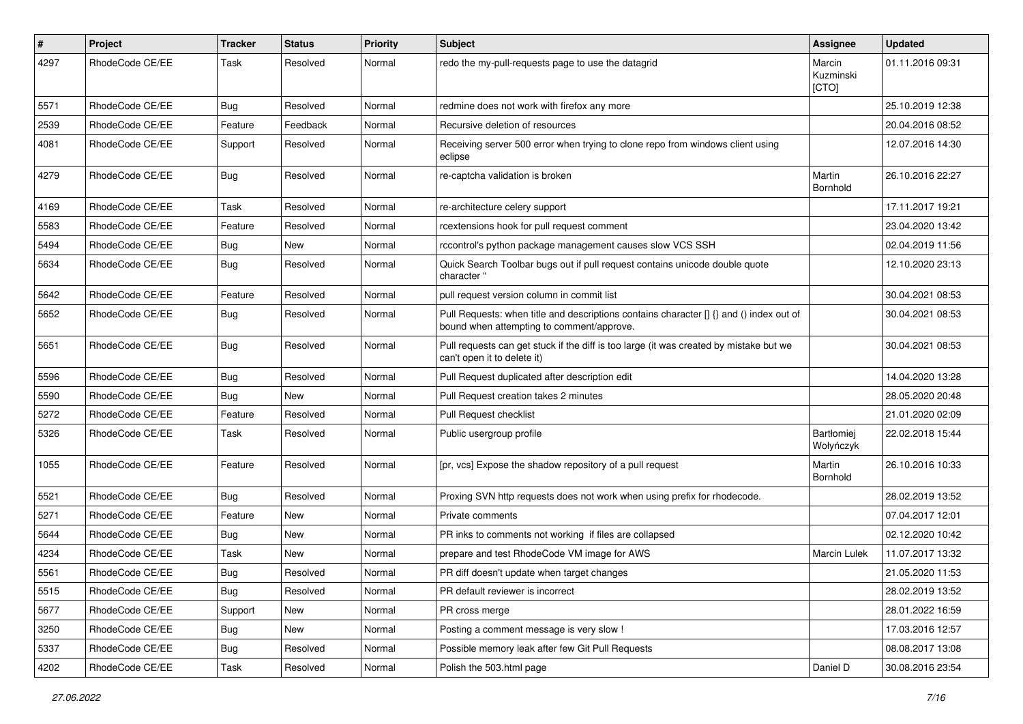| $\#$ | Project         | Tracker    | <b>Status</b> | <b>Priority</b> | <b>Subject</b>                                                                                                                       | <b>Assignee</b>              | <b>Updated</b>   |
|------|-----------------|------------|---------------|-----------------|--------------------------------------------------------------------------------------------------------------------------------------|------------------------------|------------------|
| 4297 | RhodeCode CE/EE | Task       | Resolved      | Normal          | redo the my-pull-requests page to use the datagrid                                                                                   | Marcin<br>Kuzminski<br>[CTO] | 01.11.2016 09:31 |
| 5571 | RhodeCode CE/EE | Bug        | Resolved      | Normal          | redmine does not work with firefox any more                                                                                          |                              | 25.10.2019 12:38 |
| 2539 | RhodeCode CE/EE | Feature    | Feedback      | Normal          | Recursive deletion of resources                                                                                                      |                              | 20.04.2016 08:52 |
| 4081 | RhodeCode CE/EE | Support    | Resolved      | Normal          | Receiving server 500 error when trying to clone repo from windows client using<br>eclipse                                            |                              | 12.07.2016 14:30 |
| 4279 | RhodeCode CE/EE | Bug        | Resolved      | Normal          | re-captcha validation is broken                                                                                                      | Martin<br>Bornhold           | 26.10.2016 22:27 |
| 4169 | RhodeCode CE/EE | Task       | Resolved      | Normal          | re-architecture celery support                                                                                                       |                              | 17.11.2017 19:21 |
| 5583 | RhodeCode CE/EE | Feature    | Resolved      | Normal          | rcextensions hook for pull request comment                                                                                           |                              | 23.04.2020 13:42 |
| 5494 | RhodeCode CE/EE | Bug        | New           | Normal          | rccontrol's python package management causes slow VCS SSH                                                                            |                              | 02.04.2019 11:56 |
| 5634 | RhodeCode CE/EE | Bug        | Resolved      | Normal          | Quick Search Toolbar bugs out if pull request contains unicode double quote<br>character "                                           |                              | 12.10.2020 23:13 |
| 5642 | RhodeCode CE/EE | Feature    | Resolved      | Normal          | pull request version column in commit list                                                                                           |                              | 30.04.2021 08:53 |
| 5652 | RhodeCode CE/EE | Bug        | Resolved      | Normal          | Pull Requests: when title and descriptions contains character [] {} and () index out of<br>bound when attempting to comment/approve. |                              | 30.04.2021 08:53 |
| 5651 | RhodeCode CE/EE | <b>Bug</b> | Resolved      | Normal          | Pull requests can get stuck if the diff is too large (it was created by mistake but we<br>can't open it to delete it)                |                              | 30.04.2021 08:53 |
| 5596 | RhodeCode CE/EE | <b>Bug</b> | Resolved      | Normal          | Pull Request duplicated after description edit                                                                                       |                              | 14.04.2020 13:28 |
| 5590 | RhodeCode CE/EE | <b>Bug</b> | <b>New</b>    | Normal          | Pull Request creation takes 2 minutes                                                                                                |                              | 28.05.2020 20:48 |
| 5272 | RhodeCode CE/EE | Feature    | Resolved      | Normal          | Pull Request checklist                                                                                                               |                              | 21.01.2020 02:09 |
| 5326 | RhodeCode CE/EE | Task       | Resolved      | Normal          | Public usergroup profile                                                                                                             | Bartłomiej<br>Wołyńczyk      | 22.02.2018 15:44 |
| 1055 | RhodeCode CE/EE | Feature    | Resolved      | Normal          | [pr, vcs] Expose the shadow repository of a pull request                                                                             | Martin<br>Bornhold           | 26.10.2016 10:33 |
| 5521 | RhodeCode CE/EE | Bug        | Resolved      | Normal          | Proxing SVN http requests does not work when using prefix for rhodecode.                                                             |                              | 28.02.2019 13:52 |
| 5271 | RhodeCode CE/EE | Feature    | New           | Normal          | Private comments                                                                                                                     |                              | 07.04.2017 12:01 |
| 5644 | RhodeCode CE/EE | <b>Bug</b> | New           | Normal          | PR inks to comments not working if files are collapsed                                                                               |                              | 02.12.2020 10:42 |
| 4234 | RhodeCode CE/EE | Task       | New           | Normal          | prepare and test RhodeCode VM image for AWS                                                                                          | <b>Marcin Lulek</b>          | 11.07.2017 13:32 |
| 5561 | RhodeCode CE/EE | <b>Bug</b> | Resolved      | Normal          | PR diff doesn't update when target changes                                                                                           |                              | 21.05.2020 11:53 |
| 5515 | RhodeCode CE/EE | Bug        | Resolved      | Normal          | PR default reviewer is incorrect                                                                                                     |                              | 28.02.2019 13:52 |
| 5677 | RhodeCode CE/EE | Support    | New           | Normal          | PR cross merge                                                                                                                       |                              | 28.01.2022 16:59 |
| 3250 | RhodeCode CE/EE | <b>Bug</b> | New           | Normal          | Posting a comment message is very slow !                                                                                             |                              | 17.03.2016 12:57 |
| 5337 | RhodeCode CE/EE | <b>Bug</b> | Resolved      | Normal          | Possible memory leak after few Git Pull Requests                                                                                     |                              | 08.08.2017 13:08 |
| 4202 | RhodeCode CE/EE | Task       | Resolved      | Normal          | Polish the 503.html page                                                                                                             | Daniel D                     | 30.08.2016 23:54 |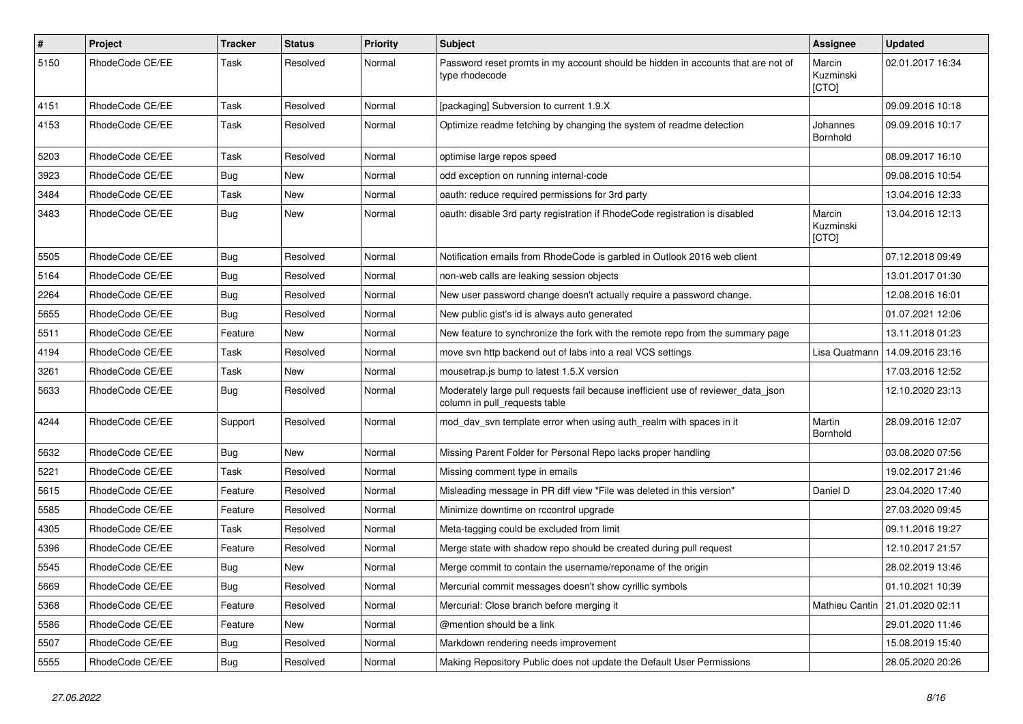| $\sharp$ | Project         | <b>Tracker</b> | <b>Status</b> | <b>Priority</b> | Subject                                                                                                            | Assignee                     | <b>Updated</b>   |
|----------|-----------------|----------------|---------------|-----------------|--------------------------------------------------------------------------------------------------------------------|------------------------------|------------------|
| 5150     | RhodeCode CE/EE | Task           | Resolved      | Normal          | Password reset promts in my account should be hidden in accounts that are not of<br>type rhodecode                 | Marcin<br>Kuzminski<br>[CTO] | 02.01.2017 16:34 |
| 4151     | RhodeCode CE/EE | Task           | Resolved      | Normal          | [packaging] Subversion to current 1.9.X                                                                            |                              | 09.09.2016 10:18 |
| 4153     | RhodeCode CE/EE | Task           | Resolved      | Normal          | Optimize readme fetching by changing the system of readme detection                                                | Johannes<br>Bornhold         | 09.09.2016 10:17 |
| 5203     | RhodeCode CE/EE | Task           | Resolved      | Normal          | optimise large repos speed                                                                                         |                              | 08.09.2017 16:10 |
| 3923     | RhodeCode CE/EE | Bug            | New           | Normal          | odd exception on running internal-code                                                                             |                              | 09.08.2016 10:54 |
| 3484     | RhodeCode CE/EE | Task           | New           | Normal          | oauth: reduce required permissions for 3rd party                                                                   |                              | 13.04.2016 12:33 |
| 3483     | RhodeCode CE/EE | Bug            | New           | Normal          | oauth: disable 3rd party registration if RhodeCode registration is disabled                                        | Marcin<br>Kuzminski<br>[CTO] | 13.04.2016 12:13 |
| 5505     | RhodeCode CE/EE | <b>Bug</b>     | Resolved      | Normal          | Notification emails from RhodeCode is garbled in Outlook 2016 web client                                           |                              | 07.12.2018 09:49 |
| 5164     | RhodeCode CE/EE | <b>Bug</b>     | Resolved      | Normal          | non-web calls are leaking session objects                                                                          |                              | 13.01.2017 01:30 |
| 2264     | RhodeCode CE/EE | <b>Bug</b>     | Resolved      | Normal          | New user password change doesn't actually require a password change.                                               |                              | 12.08.2016 16:01 |
| 5655     | RhodeCode CE/EE | Bug            | Resolved      | Normal          | New public gist's id is always auto generated                                                                      |                              | 01.07.2021 12:06 |
| 5511     | RhodeCode CE/EE | Feature        | New           | Normal          | New feature to synchronize the fork with the remote repo from the summary page                                     |                              | 13.11.2018 01:23 |
| 4194     | RhodeCode CE/EE | Task           | Resolved      | Normal          | move svn http backend out of labs into a real VCS settings                                                         | Lisa Quatmann                | 14.09.2016 23:16 |
| 3261     | RhodeCode CE/EE | Task           | New           | Normal          | mousetrap.js bump to latest 1.5.X version                                                                          |                              | 17.03.2016 12:52 |
| 5633     | RhodeCode CE/EE | Bug            | Resolved      | Normal          | Moderately large pull requests fail because inefficient use of reviewer_data_json<br>column in pull_requests table |                              | 12.10.2020 23:13 |
| 4244     | RhodeCode CE/EE | Support        | Resolved      | Normal          | mod day syn template error when using auth realm with spaces in it                                                 | Martin<br>Bornhold           | 28.09.2016 12:07 |
| 5632     | RhodeCode CE/EE | Bug            | New           | Normal          | Missing Parent Folder for Personal Repo lacks proper handling                                                      |                              | 03.08.2020 07:56 |
| 5221     | RhodeCode CE/EE | Task           | Resolved      | Normal          | Missing comment type in emails                                                                                     |                              | 19.02.2017 21:46 |
| 5615     | RhodeCode CE/EE | Feature        | Resolved      | Normal          | Misleading message in PR diff view "File was deleted in this version"                                              | Daniel D                     | 23.04.2020 17:40 |
| 5585     | RhodeCode CE/EE | Feature        | Resolved      | Normal          | Minimize downtime on rccontrol upgrade                                                                             |                              | 27.03.2020 09:45 |
| 4305     | RhodeCode CE/EE | Task           | Resolved      | Normal          | Meta-tagging could be excluded from limit                                                                          |                              | 09.11.2016 19:27 |
| 5396     | RhodeCode CE/EE | Feature        | Resolved      | Normal          | Merge state with shadow repo should be created during pull request                                                 |                              | 12.10.2017 21:57 |
| 5545     | RhodeCode CE/EE | <b>Bug</b>     | New           | Normal          | Merge commit to contain the username/reponame of the origin                                                        |                              | 28.02.2019 13:46 |
| 5669     | RhodeCode CE/EE | Bug            | Resolved      | Normal          | Mercurial commit messages doesn't show cyrillic symbols                                                            |                              | 01.10.2021 10:39 |
| 5368     | RhodeCode CE/EE | Feature        | Resolved      | Normal          | Mercurial: Close branch before merging it                                                                          | Mathieu Cantin               | 21.01.2020 02:11 |
| 5586     | RhodeCode CE/EE | Feature        | New           | Normal          | @mention should be a link                                                                                          |                              | 29.01.2020 11:46 |
| 5507     | RhodeCode CE/EE | <b>Bug</b>     | Resolved      | Normal          | Markdown rendering needs improvement                                                                               |                              | 15.08.2019 15:40 |
| 5555     | RhodeCode CE/EE | <b>Bug</b>     | Resolved      | Normal          | Making Repository Public does not update the Default User Permissions                                              |                              | 28.05.2020 20:26 |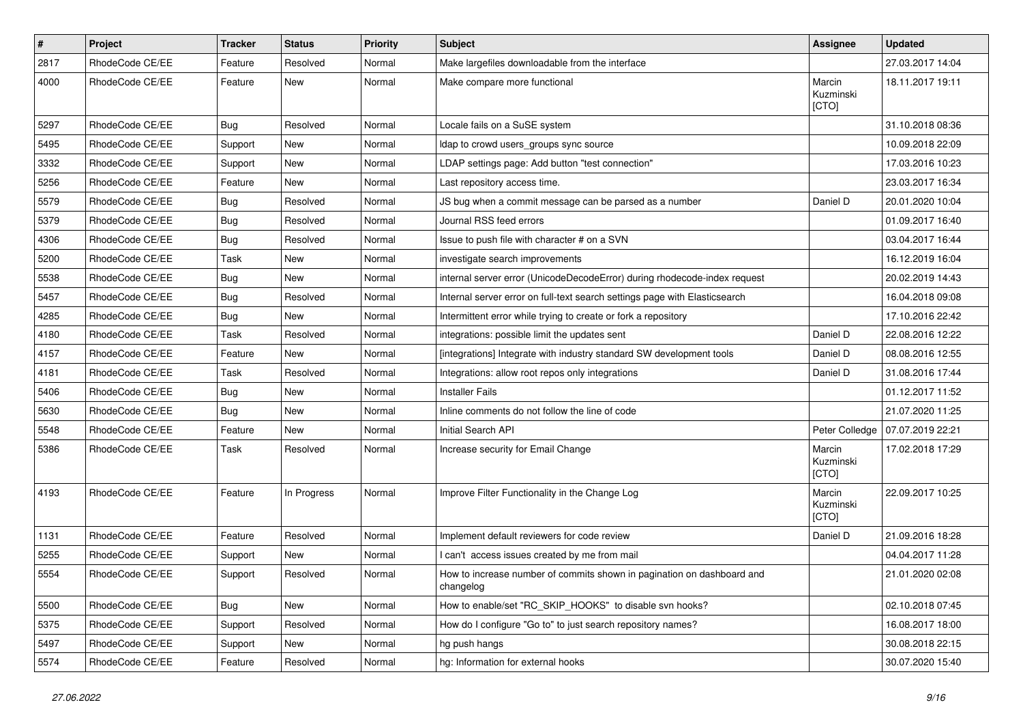| $\pmb{\#}$ | Project         | <b>Tracker</b> | <b>Status</b> | <b>Priority</b> | <b>Subject</b>                                                                      | Assignee                     | <b>Updated</b>   |
|------------|-----------------|----------------|---------------|-----------------|-------------------------------------------------------------------------------------|------------------------------|------------------|
| 2817       | RhodeCode CE/EE | Feature        | Resolved      | Normal          | Make largefiles downloadable from the interface                                     |                              | 27.03.2017 14:04 |
| 4000       | RhodeCode CE/EE | Feature        | <b>New</b>    | Normal          | Make compare more functional                                                        | Marcin<br>Kuzminski<br>[CTO] | 18.11.2017 19:11 |
| 5297       | RhodeCode CE/EE | Bug            | Resolved      | Normal          | Locale fails on a SuSE system                                                       |                              | 31.10.2018 08:36 |
| 5495       | RhodeCode CE/EE | Support        | New           | Normal          | Idap to crowd users_groups sync source                                              |                              | 10.09.2018 22:09 |
| 3332       | RhodeCode CE/EE | Support        | New           | Normal          | LDAP settings page: Add button "test connection"                                    |                              | 17.03.2016 10:23 |
| 5256       | RhodeCode CE/EE | Feature        | <b>New</b>    | Normal          | Last repository access time.                                                        |                              | 23.03.2017 16:34 |
| 5579       | RhodeCode CE/EE | Bug            | Resolved      | Normal          | JS bug when a commit message can be parsed as a number                              | Daniel D                     | 20.01.2020 10:04 |
| 5379       | RhodeCode CE/EE | Bug            | Resolved      | Normal          | Journal RSS feed errors                                                             |                              | 01.09.2017 16:40 |
| 4306       | RhodeCode CE/EE | Bug            | Resolved      | Normal          | Issue to push file with character # on a SVN                                        |                              | 03.04.2017 16:44 |
| 5200       | RhodeCode CE/EE | Task           | New           | Normal          | investigate search improvements                                                     |                              | 16.12.2019 16:04 |
| 5538       | RhodeCode CE/EE | Bug            | New           | Normal          | internal server error (UnicodeDecodeError) during rhodecode-index request           |                              | 20.02.2019 14:43 |
| 5457       | RhodeCode CE/EE | <b>Bug</b>     | Resolved      | Normal          | Internal server error on full-text search settings page with Elasticsearch          |                              | 16.04.2018 09:08 |
| 4285       | RhodeCode CE/EE | Bug            | <b>New</b>    | Normal          | Intermittent error while trying to create or fork a repository                      |                              | 17.10.2016 22:42 |
| 4180       | RhodeCode CE/EE | Task           | Resolved      | Normal          | integrations: possible limit the updates sent                                       | Daniel D                     | 22.08.2016 12:22 |
| 4157       | RhodeCode CE/EE | Feature        | New           | Normal          | [integrations] Integrate with industry standard SW development tools                | Daniel D                     | 08.08.2016 12:55 |
| 4181       | RhodeCode CE/EE | <b>Task</b>    | Resolved      | Normal          | Integrations: allow root repos only integrations                                    | Daniel D                     | 31.08.2016 17:44 |
| 5406       | RhodeCode CE/EE | Bug            | New           | Normal          | <b>Installer Fails</b>                                                              |                              | 01.12.2017 11:52 |
| 5630       | RhodeCode CE/EE | Bug            | <b>New</b>    | Normal          | Inline comments do not follow the line of code                                      |                              | 21.07.2020 11:25 |
| 5548       | RhodeCode CE/EE | Feature        | <b>New</b>    | Normal          | Initial Search API                                                                  | Peter Colledge               | 07.07.2019 22:21 |
| 5386       | RhodeCode CE/EE | Task           | Resolved      | Normal          | Increase security for Email Change                                                  | Marcin<br>Kuzminski<br>[CTO] | 17.02.2018 17:29 |
| 4193       | RhodeCode CE/EE | Feature        | In Progress   | Normal          | Improve Filter Functionality in the Change Log                                      | Marcin<br>Kuzminski<br>[CTO] | 22.09.2017 10:25 |
| 1131       | RhodeCode CE/EE | Feature        | Resolved      | Normal          | Implement default reviewers for code review                                         | Daniel D                     | 21.09.2016 18:28 |
| 5255       | RhodeCode CE/EE | Support        | <b>New</b>    | Normal          | I can't access issues created by me from mail                                       |                              | 04.04.2017 11:28 |
| 5554       | RhodeCode CE/EE | Support        | Resolved      | Normal          | How to increase number of commits shown in pagination on dashboard and<br>changelog |                              | 21.01.2020 02:08 |
| 5500       | RhodeCode CE/EE | Bug            | New           | Normal          | How to enable/set "RC_SKIP_HOOKS" to disable svn hooks?                             |                              | 02.10.2018 07:45 |
| 5375       | RhodeCode CE/EE | Support        | Resolved      | Normal          | How do I configure "Go to" to just search repository names?                         |                              | 16.08.2017 18:00 |
| 5497       | RhodeCode CE/EE | Support        | New           | Normal          | hg push hangs                                                                       |                              | 30.08.2018 22:15 |
| 5574       | RhodeCode CE/EE | Feature        | Resolved      | Normal          | hg: Information for external hooks                                                  |                              | 30.07.2020 15:40 |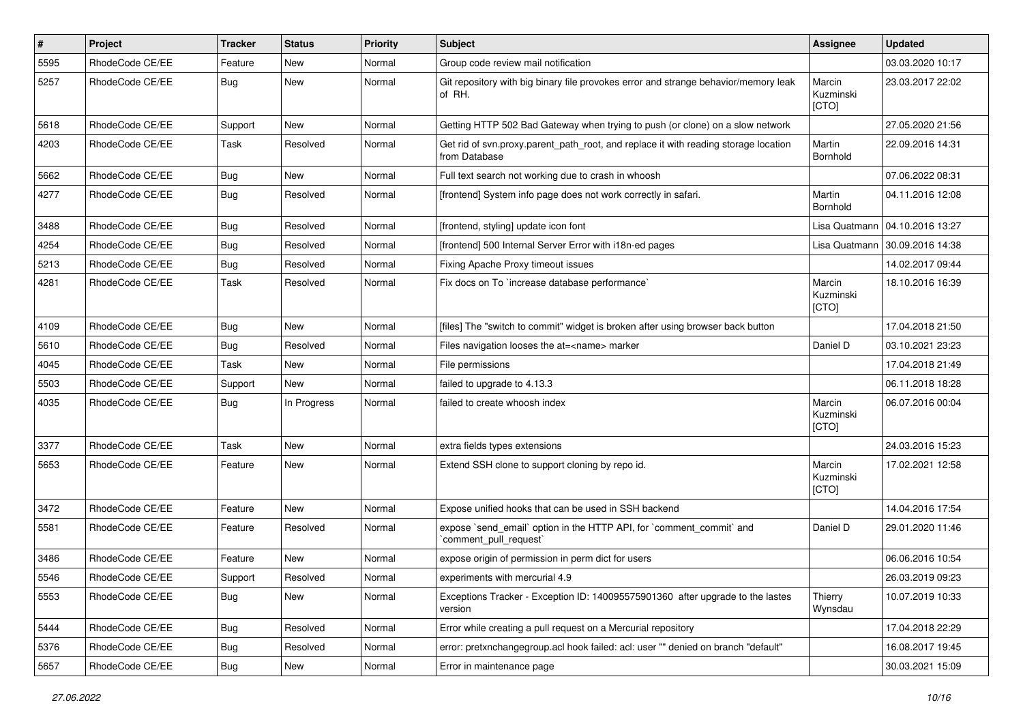| $\pmb{\#}$ | Project         | <b>Tracker</b> | <b>Status</b> | <b>Priority</b> | Subject                                                                                              | Assignee                     | <b>Updated</b>   |
|------------|-----------------|----------------|---------------|-----------------|------------------------------------------------------------------------------------------------------|------------------------------|------------------|
| 5595       | RhodeCode CE/EE | Feature        | <b>New</b>    | Normal          | Group code review mail notification                                                                  |                              | 03.03.2020 10:17 |
| 5257       | RhodeCode CE/EE | Bug            | <b>New</b>    | Normal          | Git repository with big binary file provokes error and strange behavior/memory leak<br>of RH.        | Marcin<br>Kuzminski<br>[CTO] | 23.03.2017 22:02 |
| 5618       | RhodeCode CE/EE | Support        | <b>New</b>    | Normal          | Getting HTTP 502 Bad Gateway when trying to push (or clone) on a slow network                        |                              | 27.05.2020 21:56 |
| 4203       | RhodeCode CE/EE | Task           | Resolved      | Normal          | Get rid of syn.proxy.parent path root, and replace it with reading storage location<br>from Database | Martin<br>Bornhold           | 22.09.2016 14:31 |
| 5662       | RhodeCode CE/EE | Bug            | New           | Normal          | Full text search not working due to crash in whoosh                                                  |                              | 07.06.2022 08:31 |
| 4277       | RhodeCode CE/EE | Bug            | Resolved      | Normal          | [frontend] System info page does not work correctly in safari.                                       | Martin<br>Bornhold           | 04.11.2016 12:08 |
| 3488       | RhodeCode CE/EE | Bug            | Resolved      | Normal          | [frontend, styling] update icon font                                                                 | Lisa Quatmann                | 04.10.2016 13:27 |
| 4254       | RhodeCode CE/EE | <b>Bug</b>     | Resolved      | Normal          | [frontend] 500 Internal Server Error with i18n-ed pages                                              | Lisa Quatmann                | 30.09.2016 14:38 |
| 5213       | RhodeCode CE/EE | Bug            | Resolved      | Normal          | Fixing Apache Proxy timeout issues                                                                   |                              | 14.02.2017 09:44 |
| 4281       | RhodeCode CE/EE | Task           | Resolved      | Normal          | Fix docs on To `increase database performance`                                                       | Marcin<br>Kuzminski<br>[CTO] | 18.10.2016 16:39 |
| 4109       | RhodeCode CE/EE | Bug            | New           | Normal          | [files] The "switch to commit" widget is broken after using browser back button                      |                              | 17.04.2018 21:50 |
| 5610       | RhodeCode CE/EE | Bug            | Resolved      | Normal          | Files navigation looses the at= <name> marker</name>                                                 | Daniel D                     | 03.10.2021 23:23 |
| 4045       | RhodeCode CE/EE | Task           | New           | Normal          | File permissions                                                                                     |                              | 17.04.2018 21:49 |
| 5503       | RhodeCode CE/EE | Support        | New           | Normal          | failed to upgrade to 4.13.3                                                                          |                              | 06.11.2018 18:28 |
| 4035       | RhodeCode CE/EE | <b>Bug</b>     | In Progress   | Normal          | failed to create whoosh index                                                                        | Marcin<br>Kuzminski<br>[CTO] | 06.07.2016 00:04 |
| 3377       | RhodeCode CE/EE | Task           | New           | Normal          | extra fields types extensions                                                                        |                              | 24.03.2016 15:23 |
| 5653       | RhodeCode CE/EE | Feature        | New           | Normal          | Extend SSH clone to support cloning by repo id.                                                      | Marcin<br>Kuzminski<br>[CTO] | 17.02.2021 12:58 |
| 3472       | RhodeCode CE/EE | Feature        | <b>New</b>    | Normal          | Expose unified hooks that can be used in SSH backend                                                 |                              | 14.04.2016 17:54 |
| 5581       | RhodeCode CE/EE | Feature        | Resolved      | Normal          | expose `send_email` option in the HTTP API, for `comment_commit` and<br>`comment_pull_request`       | Daniel D                     | 29.01.2020 11:46 |
| 3486       | RhodeCode CE/EE | Feature        | <b>New</b>    | Normal          | expose origin of permission in perm dict for users                                                   |                              | 06.06.2016 10:54 |
| 5546       | RhodeCode CE/EE | Support        | Resolved      | Normal          | experiments with mercurial 4.9                                                                       |                              | 26.03.2019 09:23 |
| 5553       | RhodeCode CE/EE | Bug            | New           | Normal          | Exceptions Tracker - Exception ID: 140095575901360 after upgrade to the lastes<br>version            | Thierry<br>Wynsdau           | 10.07.2019 10:33 |
| 5444       | RhodeCode CE/EE | Bug            | Resolved      | Normal          | Error while creating a pull request on a Mercurial repository                                        |                              | 17.04.2018 22:29 |
| 5376       | RhodeCode CE/EE | Bug            | Resolved      | Normal          | error: pretxnchangegroup.acl hook failed: acl: user "" denied on branch "default"                    |                              | 16.08.2017 19:45 |
| 5657       | RhodeCode CE/EE | Bug            | New           | Normal          | Error in maintenance page                                                                            |                              | 30.03.2021 15:09 |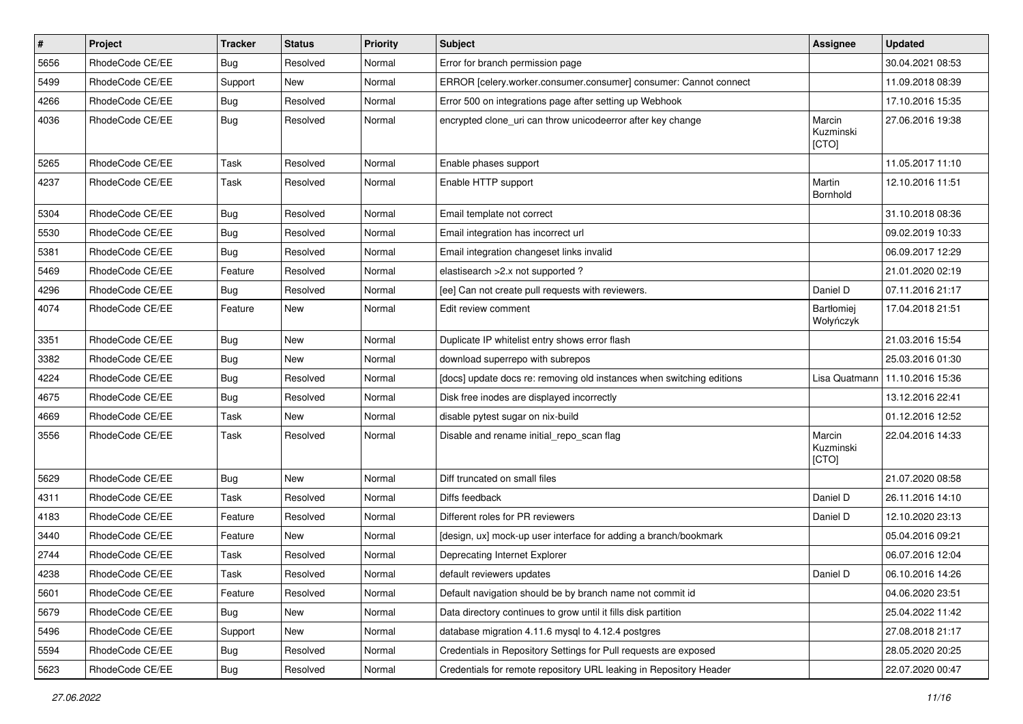| $\vert$ # | Project         | <b>Tracker</b> | <b>Status</b> | <b>Priority</b> | <b>Subject</b>                                                        | Assignee                       | <b>Updated</b>   |
|-----------|-----------------|----------------|---------------|-----------------|-----------------------------------------------------------------------|--------------------------------|------------------|
| 5656      | RhodeCode CE/EE | Bug            | Resolved      | Normal          | Error for branch permission page                                      |                                | 30.04.2021 08:53 |
| 5499      | RhodeCode CE/EE | Support        | <b>New</b>    | Normal          | ERROR [celery.worker.consumer.consumer] consumer: Cannot connect      |                                | 11.09.2018 08:39 |
| 4266      | RhodeCode CE/EE | Bug            | Resolved      | Normal          | Error 500 on integrations page after setting up Webhook               |                                | 17.10.2016 15:35 |
| 4036      | RhodeCode CE/EE | Bug            | Resolved      | Normal          | encrypted clone_uri can throw unicodeerror after key change           | Marcin<br>Kuzminski<br>[CTO]   | 27.06.2016 19:38 |
| 5265      | RhodeCode CE/EE | Task           | Resolved      | Normal          | Enable phases support                                                 |                                | 11.05.2017 11:10 |
| 4237      | RhodeCode CE/EE | <b>Task</b>    | Resolved      | Normal          | Enable HTTP support                                                   | Martin<br>Bornhold             | 12.10.2016 11:51 |
| 5304      | RhodeCode CE/EE | Bug            | Resolved      | Normal          | Email template not correct                                            |                                | 31.10.2018 08:36 |
| 5530      | RhodeCode CE/EE | Bug            | Resolved      | Normal          | Email integration has incorrect url                                   |                                | 09.02.2019 10:33 |
| 5381      | RhodeCode CE/EE | Bug            | Resolved      | Normal          | Email integration changeset links invalid                             |                                | 06.09.2017 12:29 |
| 5469      | RhodeCode CE/EE | Feature        | Resolved      | Normal          | elastisearch > 2.x not supported ?                                    |                                | 21.01.2020 02:19 |
| 4296      | RhodeCode CE/EE | Bug            | Resolved      | Normal          | [ee] Can not create pull requests with reviewers.                     | Daniel D                       | 07.11.2016 21:17 |
| 4074      | RhodeCode CE/EE | Feature        | New           | Normal          | Edit review comment                                                   | <b>Bartłomiej</b><br>Wołyńczyk | 17.04.2018 21:51 |
| 3351      | RhodeCode CE/EE | Bug            | New           | Normal          | Duplicate IP whitelist entry shows error flash                        |                                | 21.03.2016 15:54 |
| 3382      | RhodeCode CE/EE | Bug            | New           | Normal          | download superrepo with subrepos                                      |                                | 25.03.2016 01:30 |
| 4224      | RhodeCode CE/EE | Bug            | Resolved      | Normal          | [docs] update docs re: removing old instances when switching editions | Lisa Quatmann                  | 11.10.2016 15:36 |
| 4675      | RhodeCode CE/EE | Bug            | Resolved      | Normal          | Disk free inodes are displayed incorrectly                            |                                | 13.12.2016 22:41 |
| 4669      | RhodeCode CE/EE | <b>Task</b>    | <b>New</b>    | Normal          | disable pytest sugar on nix-build                                     |                                | 01.12.2016 12:52 |
| 3556      | RhodeCode CE/EE | Task           | Resolved      | Normal          | Disable and rename initial_repo_scan flag                             | Marcin<br>Kuzminski<br>[CTO]   | 22.04.2016 14:33 |
| 5629      | RhodeCode CE/EE | Bug            | New           | Normal          | Diff truncated on small files                                         |                                | 21.07.2020 08:58 |
| 4311      | RhodeCode CE/EE | Task           | Resolved      | Normal          | Diffs feedback                                                        | Daniel D                       | 26.11.2016 14:10 |
| 4183      | RhodeCode CE/EE | Feature        | Resolved      | Normal          | Different roles for PR reviewers                                      | Daniel D                       | 12.10.2020 23:13 |
| 3440      | RhodeCode CE/EE | Feature        | New           | Normal          | [design, ux] mock-up user interface for adding a branch/bookmark      |                                | 05.04.2016 09:21 |
| 2744      | RhodeCode CE/EE | <b>Task</b>    | Resolved      | Normal          | Deprecating Internet Explorer                                         |                                | 06.07.2016 12:04 |
| 4238      | RhodeCode CE/EE | Task           | Resolved      | Normal          | default reviewers updates                                             | Daniel D                       | 06.10.2016 14:26 |
| 5601      | RhodeCode CE/EE | Feature        | Resolved      | Normal          | Default navigation should be by branch name not commit id             |                                | 04.06.2020 23:51 |
| 5679      | RhodeCode CE/EE | <b>Bug</b>     | New           | Normal          | Data directory continues to grow until it fills disk partition        |                                | 25.04.2022 11:42 |
| 5496      | RhodeCode CE/EE | Support        | New           | Normal          | database migration 4.11.6 mysql to 4.12.4 postgres                    |                                | 27.08.2018 21:17 |
| 5594      | RhodeCode CE/EE | Bug            | Resolved      | Normal          | Credentials in Repository Settings for Pull requests are exposed      |                                | 28.05.2020 20:25 |
| 5623      | RhodeCode CE/EE | Bug            | Resolved      | Normal          | Credentials for remote repository URL leaking in Repository Header    |                                | 22.07.2020 00:47 |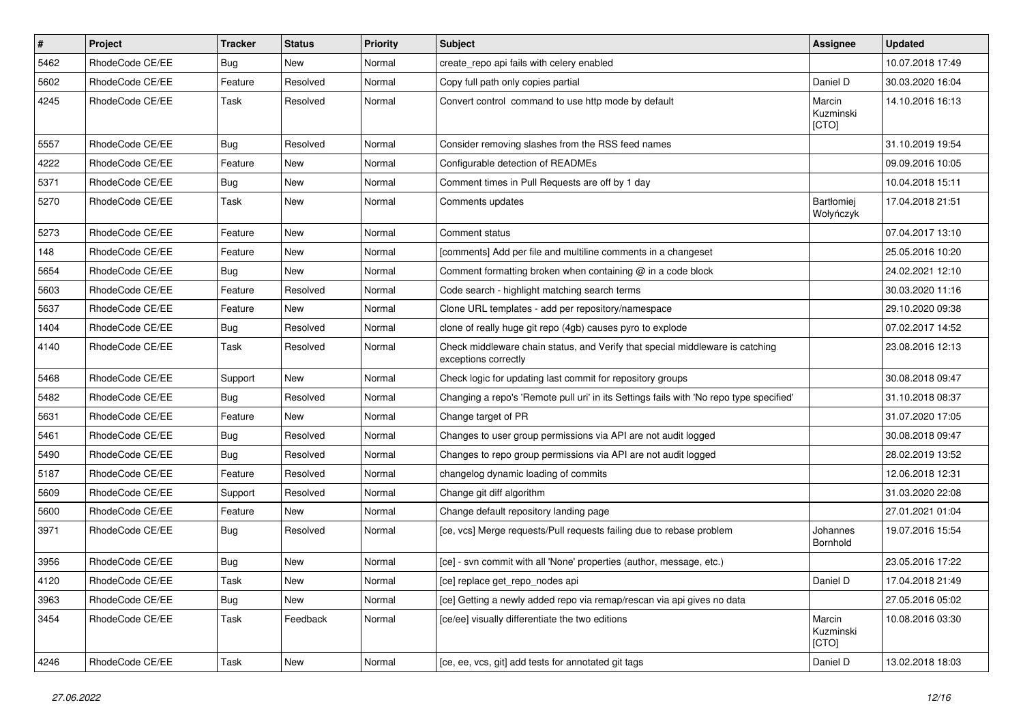| $\pmb{\#}$ | Project         | <b>Tracker</b> | <b>Status</b> | Priority | Subject                                                                                               | Assignee                     | <b>Updated</b>   |
|------------|-----------------|----------------|---------------|----------|-------------------------------------------------------------------------------------------------------|------------------------------|------------------|
| 5462       | RhodeCode CE/EE | <b>Bug</b>     | New           | Normal   | create repo api fails with celery enabled                                                             |                              | 10.07.2018 17:49 |
| 5602       | RhodeCode CE/EE | Feature        | Resolved      | Normal   | Copy full path only copies partial                                                                    | Daniel D                     | 30.03.2020 16:04 |
| 4245       | RhodeCode CE/EE | Task           | Resolved      | Normal   | Convert control command to use http mode by default                                                   | Marcin<br>Kuzminski<br>[CTO] | 14.10.2016 16:13 |
| 5557       | RhodeCode CE/EE | Bug            | Resolved      | Normal   | Consider removing slashes from the RSS feed names                                                     |                              | 31.10.2019 19:54 |
| 4222       | RhodeCode CE/EE | Feature        | New           | Normal   | Configurable detection of READMEs                                                                     |                              | 09.09.2016 10:05 |
| 5371       | RhodeCode CE/EE | Bug            | <b>New</b>    | Normal   | Comment times in Pull Requests are off by 1 day                                                       |                              | 10.04.2018 15:11 |
| 5270       | RhodeCode CE/EE | Task           | <b>New</b>    | Normal   | Comments updates                                                                                      | Bartłomiej<br>Wołyńczyk      | 17.04.2018 21:51 |
| 5273       | RhodeCode CE/EE | Feature        | New           | Normal   | Comment status                                                                                        |                              | 07.04.2017 13:10 |
| 148        | RhodeCode CE/EE | Feature        | New           | Normal   | [comments] Add per file and multiline comments in a changeset                                         |                              | 25.05.2016 10:20 |
| 5654       | RhodeCode CE/EE | Bug            | <b>New</b>    | Normal   | Comment formatting broken when containing @ in a code block                                           |                              | 24.02.2021 12:10 |
| 5603       | RhodeCode CE/EE | Feature        | Resolved      | Normal   | Code search - highlight matching search terms                                                         |                              | 30.03.2020 11:16 |
| 5637       | RhodeCode CE/EE | Feature        | New           | Normal   | Clone URL templates - add per repository/namespace                                                    |                              | 29.10.2020 09:38 |
| 1404       | RhodeCode CE/EE | Bug            | Resolved      | Normal   | clone of really huge git repo (4gb) causes pyro to explode                                            |                              | 07.02.2017 14:52 |
| 4140       | RhodeCode CE/EE | Task           | Resolved      | Normal   | Check middleware chain status, and Verify that special middleware is catching<br>exceptions correctly |                              | 23.08.2016 12:13 |
| 5468       | RhodeCode CE/EE | Support        | New           | Normal   | Check logic for updating last commit for repository groups                                            |                              | 30.08.2018 09:47 |
| 5482       | RhodeCode CE/EE | <b>Bug</b>     | Resolved      | Normal   | Changing a repo's 'Remote pull uri' in its Settings fails with 'No repo type specified'               |                              | 31.10.2018 08:37 |
| 5631       | RhodeCode CE/EE | Feature        | New           | Normal   | Change target of PR                                                                                   |                              | 31.07.2020 17:05 |
| 5461       | RhodeCode CE/EE | Bug            | Resolved      | Normal   | Changes to user group permissions via API are not audit logged                                        |                              | 30.08.2018 09:47 |
| 5490       | RhodeCode CE/EE | Bug            | Resolved      | Normal   | Changes to repo group permissions via API are not audit logged                                        |                              | 28.02.2019 13:52 |
| 5187       | RhodeCode CE/EE | Feature        | Resolved      | Normal   | changelog dynamic loading of commits                                                                  |                              | 12.06.2018 12:31 |
| 5609       | RhodeCode CE/EE | Support        | Resolved      | Normal   | Change git diff algorithm                                                                             |                              | 31.03.2020 22:08 |
| 5600       | RhodeCode CE/EE | Feature        | <b>New</b>    | Normal   | Change default repository landing page                                                                |                              | 27.01.2021 01:04 |
| 3971       | RhodeCode CE/EE | Bug            | Resolved      | Normal   | [ce, vcs] Merge requests/Pull requests failing due to rebase problem                                  | Johannes<br>Bornhold         | 19.07.2016 15:54 |
| 3956       | RhodeCode CE/EE | Bug            | <b>New</b>    | Normal   | [ce] - svn commit with all 'None' properties (author, message, etc.)                                  |                              | 23.05.2016 17:22 |
| 4120       | RhodeCode CE/EE | Task           | New           | Normal   | [ce] replace get_repo_nodes api                                                                       | Daniel D                     | 17.04.2018 21:49 |
| 3963       | RhodeCode CE/EE | Bug            | New           | Normal   | [ce] Getting a newly added repo via remap/rescan via api gives no data                                |                              | 27.05.2016 05:02 |
| 3454       | RhodeCode CE/EE | Task           | Feedback      | Normal   | [ce/ee] visually differentiate the two editions                                                       | Marcin<br>Kuzminski<br>[CTO] | 10.08.2016 03:30 |
| 4246       | RhodeCode CE/EE | Task           | New           | Normal   | [ce, ee, vcs, git] add tests for annotated git tags                                                   | Daniel D                     | 13.02.2018 18:03 |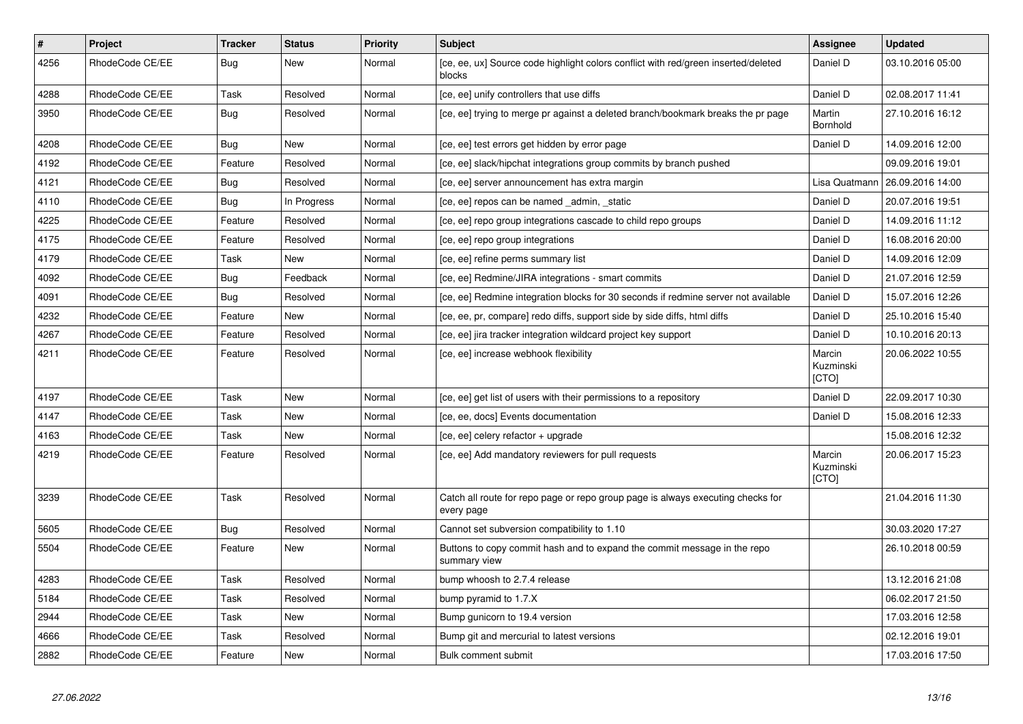| $\pmb{\#}$ | <b>Project</b>  | <b>Tracker</b> | <b>Status</b> | <b>Priority</b> | <b>Subject</b>                                                                                | <b>Assignee</b>              | <b>Updated</b>   |
|------------|-----------------|----------------|---------------|-----------------|-----------------------------------------------------------------------------------------------|------------------------------|------------------|
| 4256       | RhodeCode CE/EE | Bug            | New           | Normal          | [ce, ee, ux] Source code highlight colors conflict with red/green inserted/deleted<br>blocks  | Daniel D                     | 03.10.2016 05:00 |
| 4288       | RhodeCode CE/EE | Task           | Resolved      | Normal          | [ce, ee] unify controllers that use diffs                                                     | Daniel D                     | 02.08.2017 11:41 |
| 3950       | RhodeCode CE/EE | Bug            | Resolved      | Normal          | [ce, ee] trying to merge pr against a deleted branch/bookmark breaks the pr page              | Martin<br>Bornhold           | 27.10.2016 16:12 |
| 4208       | RhodeCode CE/EE | <b>Bug</b>     | New           | Normal          | [ce, ee] test errors get hidden by error page                                                 | Daniel D                     | 14.09.2016 12:00 |
| 4192       | RhodeCode CE/EE | Feature        | Resolved      | Normal          | [ce, ee] slack/hipchat integrations group commits by branch pushed                            |                              | 09.09.2016 19:01 |
| 4121       | RhodeCode CE/EE | <b>Bug</b>     | Resolved      | Normal          | [ce, ee] server announcement has extra margin                                                 | Lisa Quatmann                | 26.09.2016 14:00 |
| 4110       | RhodeCode CE/EE | Bug            | In Progress   | Normal          | [ce, ee] repos can be named _admin, _static                                                   | Daniel D                     | 20.07.2016 19:51 |
| 4225       | RhodeCode CE/EE | Feature        | Resolved      | Normal          | [ce, ee] repo group integrations cascade to child repo groups                                 | Daniel D                     | 14.09.2016 11:12 |
| 4175       | RhodeCode CE/EE | Feature        | Resolved      | Normal          | [ce, ee] repo group integrations                                                              | Daniel D                     | 16.08.2016 20:00 |
| 4179       | RhodeCode CE/EE | Task           | <b>New</b>    | Normal          | [ce, ee] refine perms summary list                                                            | Daniel D                     | 14.09.2016 12:09 |
| 4092       | RhodeCode CE/EE | Bug            | Feedback      | Normal          | [ce, ee] Redmine/JIRA integrations - smart commits                                            | Daniel D                     | 21.07.2016 12:59 |
| 4091       | RhodeCode CE/EE | Bug            | Resolved      | Normal          | [ce, ee] Redmine integration blocks for 30 seconds if redmine server not available            | Daniel D                     | 15.07.2016 12:26 |
| 4232       | RhodeCode CE/EE | Feature        | <b>New</b>    | Normal          | [ce, ee, pr, compare] redo diffs, support side by side diffs, html diffs                      | Daniel D                     | 25.10.2016 15:40 |
| 4267       | RhodeCode CE/EE | Feature        | Resolved      | Normal          | [ce, ee] jira tracker integration wildcard project key support                                | Daniel D                     | 10.10.2016 20:13 |
| 4211       | RhodeCode CE/EE | Feature        | Resolved      | Normal          | [ce, ee] increase webhook flexibility                                                         | Marcin<br>Kuzminski<br>[CTO] | 20.06.2022 10:55 |
| 4197       | RhodeCode CE/EE | Task           | New           | Normal          | [ce, ee] get list of users with their permissions to a repository                             | Daniel D                     | 22.09.2017 10:30 |
| 4147       | RhodeCode CE/EE | Task           | <b>New</b>    | Normal          | [ce, ee, docs] Events documentation                                                           | Daniel D                     | 15.08.2016 12:33 |
| 4163       | RhodeCode CE/EE | Task           | New           | Normal          | [ce, ee] celery refactor + upgrade                                                            |                              | 15.08.2016 12:32 |
| 4219       | RhodeCode CE/EE | Feature        | Resolved      | Normal          | [ce, ee] Add mandatory reviewers for pull requests                                            | Marcin<br>Kuzminski<br>[CTO] | 20.06.2017 15:23 |
| 3239       | RhodeCode CE/EE | Task           | Resolved      | Normal          | Catch all route for repo page or repo group page is always executing checks for<br>every page |                              | 21.04.2016 11:30 |
| 5605       | RhodeCode CE/EE | <b>Bug</b>     | Resolved      | Normal          | Cannot set subversion compatibility to 1.10                                                   |                              | 30.03.2020 17:27 |
| 5504       | RhodeCode CE/EE | Feature        | <b>New</b>    | Normal          | Buttons to copy commit hash and to expand the commit message in the repo<br>summary view      |                              | 26.10.2018 00:59 |
| 4283       | RhodeCode CE/EE | Task           | Resolved      | Normal          | bump whoosh to 2.7.4 release                                                                  |                              | 13.12.2016 21:08 |
| 5184       | RhodeCode CE/EE | Task           | Resolved      | Normal          | bump pyramid to 1.7.X                                                                         |                              | 06.02.2017 21:50 |
| 2944       | RhodeCode CE/EE | Task           | New           | Normal          | Bump gunicorn to 19.4 version                                                                 |                              | 17.03.2016 12:58 |
| 4666       | RhodeCode CE/EE | Task           | Resolved      | Normal          | Bump git and mercurial to latest versions                                                     |                              | 02.12.2016 19:01 |
| 2882       | RhodeCode CE/EE | Feature        | New           | Normal          | Bulk comment submit                                                                           |                              | 17.03.2016 17:50 |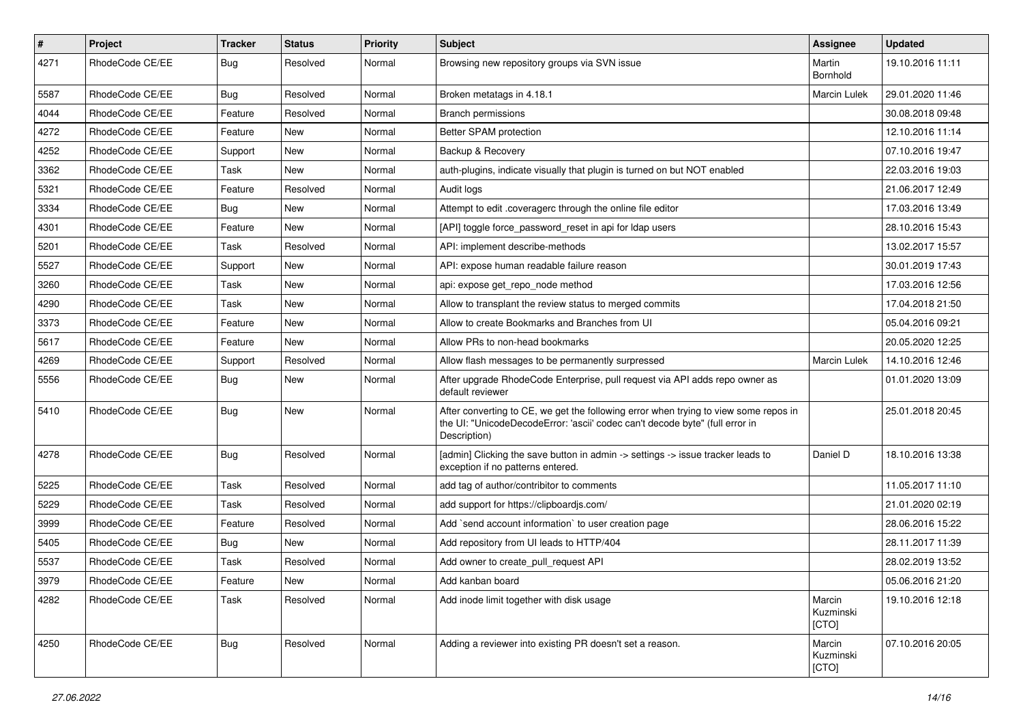| #    | Project         | <b>Tracker</b> | <b>Status</b> | <b>Priority</b> | <b>Subject</b>                                                                                                                                                                       | <b>Assignee</b>              | <b>Updated</b>   |
|------|-----------------|----------------|---------------|-----------------|--------------------------------------------------------------------------------------------------------------------------------------------------------------------------------------|------------------------------|------------------|
| 4271 | RhodeCode CE/EE | Bug            | Resolved      | Normal          | Browsing new repository groups via SVN issue                                                                                                                                         | Martin<br>Bornhold           | 19.10.2016 11:11 |
| 5587 | RhodeCode CE/EE | <b>Bug</b>     | Resolved      | Normal          | Broken metatags in 4.18.1                                                                                                                                                            | <b>Marcin Lulek</b>          | 29.01.2020 11:46 |
| 4044 | RhodeCode CE/EE | Feature        | Resolved      | Normal          | <b>Branch permissions</b>                                                                                                                                                            |                              | 30.08.2018 09:48 |
| 4272 | RhodeCode CE/EE | Feature        | <b>New</b>    | Normal          | Better SPAM protection                                                                                                                                                               |                              | 12.10.2016 11:14 |
| 4252 | RhodeCode CE/EE | Support        | New           | Normal          | Backup & Recovery                                                                                                                                                                    |                              | 07.10.2016 19:47 |
| 3362 | RhodeCode CE/EE | Task           | <b>New</b>    | Normal          | auth-plugins, indicate visually that plugin is turned on but NOT enabled                                                                                                             |                              | 22.03.2016 19:03 |
| 5321 | RhodeCode CE/EE | Feature        | Resolved      | Normal          | Audit logs                                                                                                                                                                           |                              | 21.06.2017 12:49 |
| 3334 | RhodeCode CE/EE | Bug            | <b>New</b>    | Normal          | Attempt to edit .coveragerc through the online file editor                                                                                                                           |                              | 17.03.2016 13:49 |
| 4301 | RhodeCode CE/EE | Feature        | <b>New</b>    | Normal          | [API] toggle force password reset in api for Idap users                                                                                                                              |                              | 28.10.2016 15:43 |
| 5201 | RhodeCode CE/EE | Task           | Resolved      | Normal          | API: implement describe-methods                                                                                                                                                      |                              | 13.02.2017 15:57 |
| 5527 | RhodeCode CE/EE | Support        | New           | Normal          | API: expose human readable failure reason                                                                                                                                            |                              | 30.01.2019 17:43 |
| 3260 | RhodeCode CE/EE | Task           | New           | Normal          | api: expose get repo node method                                                                                                                                                     |                              | 17.03.2016 12:56 |
| 4290 | RhodeCode CE/EE | Task           | <b>New</b>    | Normal          | Allow to transplant the review status to merged commits                                                                                                                              |                              | 17.04.2018 21:50 |
| 3373 | RhodeCode CE/EE | Feature        | <b>New</b>    | Normal          | Allow to create Bookmarks and Branches from UI                                                                                                                                       |                              | 05.04.2016 09:21 |
| 5617 | RhodeCode CE/EE | Feature        | New           | Normal          | Allow PRs to non-head bookmarks                                                                                                                                                      |                              | 20.05.2020 12:25 |
| 4269 | RhodeCode CE/EE | Support        | Resolved      | Normal          | Allow flash messages to be permanently surpressed                                                                                                                                    | Marcin Lulek                 | 14.10.2016 12:46 |
| 5556 | RhodeCode CE/EE | Bug            | <b>New</b>    | Normal          | After upgrade RhodeCode Enterprise, pull request via API adds repo owner as<br>default reviewer                                                                                      |                              | 01.01.2020 13:09 |
| 5410 | RhodeCode CE/EE | Bug            | New           | Normal          | After converting to CE, we get the following error when trying to view some repos in<br>the UI: "UnicodeDecodeError: 'ascii' codec can't decode byte" (full error in<br>Description) |                              | 25.01.2018 20:45 |
| 4278 | RhodeCode CE/EE | <b>Bug</b>     | Resolved      | Normal          | [admin] Clicking the save button in admin -> settings -> issue tracker leads to<br>exception if no patterns entered.                                                                 | Daniel D                     | 18.10.2016 13:38 |
| 5225 | RhodeCode CE/EE | Task           | Resolved      | Normal          | add tag of author/contribitor to comments                                                                                                                                            |                              | 11.05.2017 11:10 |
| 5229 | RhodeCode CE/EE | Task           | Resolved      | Normal          | add support for https://clipboardjs.com/                                                                                                                                             |                              | 21.01.2020 02:19 |
| 3999 | RhodeCode CE/EE | Feature        | Resolved      | Normal          | Add `send account information` to user creation page                                                                                                                                 |                              | 28.06.2016 15:22 |
| 5405 | RhodeCode CE/EE | Bug            | <b>New</b>    | Normal          | Add repository from UI leads to HTTP/404                                                                                                                                             |                              | 28.11.2017 11:39 |
| 5537 | RhodeCode CE/EE | Task           | Resolved      | Normal          | Add owner to create pull request API                                                                                                                                                 |                              | 28.02.2019 13:52 |
| 3979 | RhodeCode CE/EE | Feature        | New           | Normal          | Add kanban board                                                                                                                                                                     |                              | 05.06.2016 21:20 |
| 4282 | RhodeCode CE/EE | Task           | Resolved      | Normal          | Add inode limit together with disk usage                                                                                                                                             | Marcin<br>Kuzminski<br>[CTO] | 19.10.2016 12:18 |
| 4250 | RhodeCode CE/EE | Bug            | Resolved      | Normal          | Adding a reviewer into existing PR doesn't set a reason.                                                                                                                             | Marcin<br>Kuzminski<br>[CTO] | 07.10.2016 20:05 |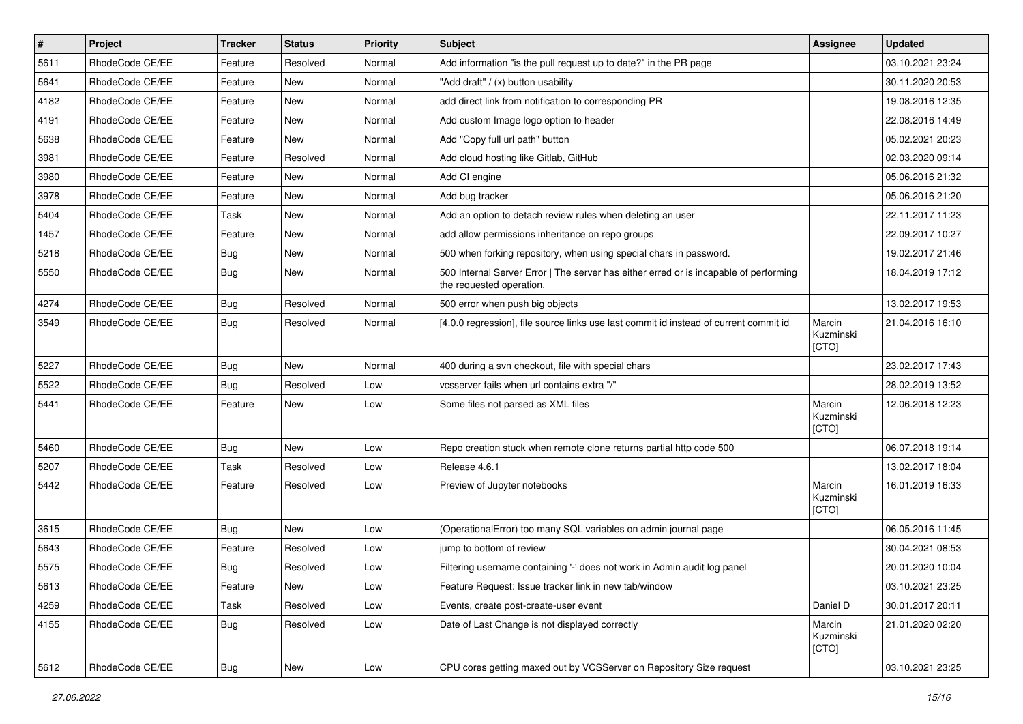| $\sharp$ | Project         | <b>Tracker</b> | <b>Status</b> | <b>Priority</b> | <b>Subject</b>                                                                                                    | <b>Assignee</b>              | <b>Updated</b>   |
|----------|-----------------|----------------|---------------|-----------------|-------------------------------------------------------------------------------------------------------------------|------------------------------|------------------|
| 5611     | RhodeCode CE/EE | Feature        | Resolved      | Normal          | Add information "is the pull request up to date?" in the PR page                                                  |                              | 03.10.2021 23:24 |
| 5641     | RhodeCode CE/EE | Feature        | <b>New</b>    | Normal          | "Add draft" / (x) button usability                                                                                |                              | 30.11.2020 20:53 |
| 4182     | RhodeCode CE/EE | Feature        | New           | Normal          | add direct link from notification to corresponding PR                                                             |                              | 19.08.2016 12:35 |
| 4191     | RhodeCode CE/EE | Feature        | <b>New</b>    | Normal          | Add custom Image logo option to header                                                                            |                              | 22.08.2016 14:49 |
| 5638     | RhodeCode CE/EE | Feature        | New           | Normal          | Add "Copy full url path" button                                                                                   |                              | 05.02.2021 20:23 |
| 3981     | RhodeCode CE/EE | Feature        | Resolved      | Normal          | Add cloud hosting like Gitlab, GitHub                                                                             |                              | 02.03.2020 09:14 |
| 3980     | RhodeCode CE/EE | Feature        | New           | Normal          | Add CI engine                                                                                                     |                              | 05.06.2016 21:32 |
| 3978     | RhodeCode CE/EE | Feature        | <b>New</b>    | Normal          | Add bug tracker                                                                                                   |                              | 05.06.2016 21:20 |
| 5404     | RhodeCode CE/EE | Task           | <b>New</b>    | Normal          | Add an option to detach review rules when deleting an user                                                        |                              | 22.11.2017 11:23 |
| 1457     | RhodeCode CE/EE | Feature        | <b>New</b>    | Normal          | add allow permissions inheritance on repo groups                                                                  |                              | 22.09.2017 10:27 |
| 5218     | RhodeCode CE/EE | Bug            | New           | Normal          | 500 when forking repository, when using special chars in password.                                                |                              | 19.02.2017 21:46 |
| 5550     | RhodeCode CE/EE | Bug            | New           | Normal          | 500 Internal Server Error   The server has either erred or is incapable of performing<br>the requested operation. |                              | 18.04.2019 17:12 |
| 4274     | RhodeCode CE/EE | Bug            | Resolved      | Normal          | 500 error when push big objects                                                                                   |                              | 13.02.2017 19:53 |
| 3549     | RhodeCode CE/EE | Bug            | Resolved      | Normal          | [4.0.0 regression], file source links use last commit id instead of current commit id                             | Marcin<br>Kuzminski<br>[CTO] | 21.04.2016 16:10 |
| 5227     | RhodeCode CE/EE | Bug            | <b>New</b>    | Normal          | 400 during a svn checkout, file with special chars                                                                |                              | 23.02.2017 17:43 |
| 5522     | RhodeCode CE/EE | Bug            | Resolved      | Low             | vcsserver fails when url contains extra "/"                                                                       |                              | 28.02.2019 13:52 |
| 5441     | RhodeCode CE/EE | Feature        | <b>New</b>    | Low             | Some files not parsed as XML files                                                                                | Marcin<br>Kuzminski<br>[CTO] | 12.06.2018 12:23 |
| 5460     | RhodeCode CE/EE | Bug            | New           | Low             | Repo creation stuck when remote clone returns partial http code 500                                               |                              | 06.07.2018 19:14 |
| 5207     | RhodeCode CE/EE | Task           | Resolved      | Low             | Release 4.6.1                                                                                                     |                              | 13.02.2017 18:04 |
| 5442     | RhodeCode CE/EE | Feature        | Resolved      | Low             | Preview of Jupyter notebooks                                                                                      | Marcin<br>Kuzminski<br>[CTO] | 16.01.2019 16:33 |
| 3615     | RhodeCode CE/EE | Bug            | <b>New</b>    | Low             | (OperationalError) too many SQL variables on admin journal page                                                   |                              | 06.05.2016 11:45 |
| 5643     | RhodeCode CE/EE | Feature        | Resolved      | Low             | jump to bottom of review                                                                                          |                              | 30.04.2021 08:53 |
| 5575     | RhodeCode CE/EE | Bug            | Resolved      | Low             | Filtering username containing '-' does not work in Admin audit log panel                                          |                              | 20.01.2020 10:04 |
| 5613     | RhodeCode CE/EE | Feature        | New           | Low             | Feature Request: Issue tracker link in new tab/window                                                             |                              | 03.10.2021 23:25 |
| 4259     | RhodeCode CE/EE | Task           | Resolved      | Low             | Events, create post-create-user event                                                                             | Daniel D                     | 30.01.2017 20:11 |
| 4155     | RhodeCode CE/EE | Bug            | Resolved      | Low             | Date of Last Change is not displayed correctly                                                                    | Marcin<br>Kuzminski<br>[CTO] | 21.01.2020 02:20 |
| 5612     | RhodeCode CE/EE | Bug            | New           | Low             | CPU cores getting maxed out by VCSServer on Repository Size request                                               |                              | 03.10.2021 23:25 |